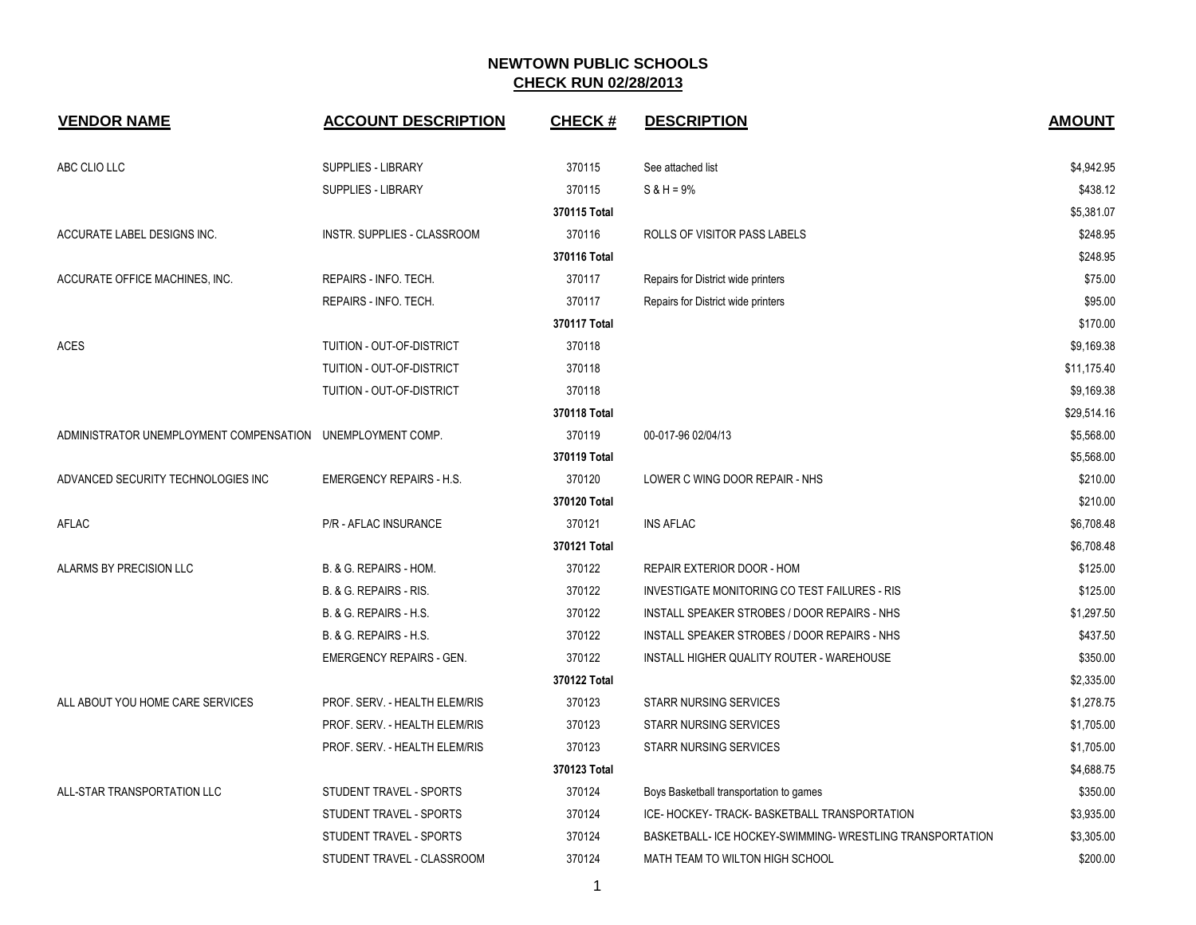| <b>VENDOR NAME</b>                                         | <b>ACCOUNT DESCRIPTION</b>      | <b>CHECK#</b> | <b>DESCRIPTION</b>                                      | <b>AMOUNT</b> |
|------------------------------------------------------------|---------------------------------|---------------|---------------------------------------------------------|---------------|
| ABC CLIO LLC                                               | <b>SUPPLIES - LIBRARY</b>       | 370115        | See attached list                                       | \$4,942.95    |
|                                                            | <b>SUPPLIES - LIBRARY</b>       | 370115        | $S & H = 9%$                                            | \$438.12      |
|                                                            |                                 | 370115 Total  |                                                         | \$5,381.07    |
| ACCURATE LABEL DESIGNS INC.                                | INSTR. SUPPLIES - CLASSROOM     | 370116        | ROLLS OF VISITOR PASS LABELS                            | \$248.95      |
|                                                            |                                 | 370116 Total  |                                                         | \$248.95      |
| ACCURATE OFFICE MACHINES, INC.                             | REPAIRS - INFO. TECH.           | 370117        | Repairs for District wide printers                      | \$75.00       |
|                                                            | REPAIRS - INFO. TECH.           | 370117        | Repairs for District wide printers                      | \$95.00       |
|                                                            |                                 | 370117 Total  |                                                         | \$170.00      |
| <b>ACES</b>                                                | TUITION - OUT-OF-DISTRICT       | 370118        |                                                         | \$9,169.38    |
|                                                            | TUITION - OUT-OF-DISTRICT       | 370118        |                                                         | \$11,175.40   |
|                                                            | TUITION - OUT-OF-DISTRICT       | 370118        |                                                         | \$9,169.38    |
|                                                            |                                 | 370118 Total  |                                                         | \$29,514.16   |
| ADMINISTRATOR UNEMPLOYMENT COMPENSATION UNEMPLOYMENT COMP. |                                 | 370119        | 00-017-96 02/04/13                                      | \$5,568.00    |
|                                                            |                                 | 370119 Total  |                                                         | \$5,568.00    |
| ADVANCED SECURITY TECHNOLOGIES INC                         | <b>EMERGENCY REPAIRS - H.S.</b> | 370120        | LOWER C WING DOOR REPAIR - NHS                          | \$210.00      |
|                                                            |                                 | 370120 Total  |                                                         | \$210.00      |
| AFLAC                                                      | <b>P/R - AFLAC INSURANCE</b>    | 370121        | <b>INS AFLAC</b>                                        | \$6,708.48    |
|                                                            |                                 | 370121 Total  |                                                         | \$6,708.48    |
| ALARMS BY PRECISION LLC                                    | B. & G. REPAIRS - HOM.          | 370122        | REPAIR EXTERIOR DOOR - HOM                              | \$125.00      |
|                                                            | B. & G. REPAIRS - RIS.          | 370122        | INVESTIGATE MONITORING CO TEST FAILURES - RIS           | \$125.00      |
|                                                            | B. & G. REPAIRS - H.S.          | 370122        | INSTALL SPEAKER STROBES / DOOR REPAIRS - NHS            | \$1,297.50    |
|                                                            | B. & G. REPAIRS - H.S.          | 370122        | INSTALL SPEAKER STROBES / DOOR REPAIRS - NHS            | \$437.50      |
|                                                            | <b>EMERGENCY REPAIRS - GEN.</b> | 370122        | INSTALL HIGHER QUALITY ROUTER - WAREHOUSE               | \$350.00      |
|                                                            |                                 | 370122 Total  |                                                         | \$2,335.00    |
| ALL ABOUT YOU HOME CARE SERVICES                           | PROF. SERV. - HEALTH ELEM/RIS   | 370123        | <b>STARR NURSING SERVICES</b>                           | \$1,278.75    |
|                                                            | PROF. SERV. - HEALTH ELEM/RIS   | 370123        | <b>STARR NURSING SERVICES</b>                           | \$1,705.00    |
|                                                            | PROF. SERV. - HEALTH ELEM/RIS   | 370123        | <b>STARR NURSING SERVICES</b>                           | \$1,705.00    |
|                                                            |                                 | 370123 Total  |                                                         | \$4,688.75    |
| ALL-STAR TRANSPORTATION LLC                                | STUDENT TRAVEL - SPORTS         | 370124        | Boys Basketball transportation to games                 | \$350.00      |
|                                                            | STUDENT TRAVEL - SPORTS         | 370124        | ICE- HOCKEY- TRACK- BASKETBALL TRANSPORTATION           | \$3,935.00    |
|                                                            | STUDENT TRAVEL - SPORTS         | 370124        | BASKETBALL-ICE HOCKEY-SWIMMING-WRESTLING TRANSPORTATION | \$3,305.00    |
|                                                            | STUDENT TRAVEL - CLASSROOM      | 370124        | MATH TEAM TO WILTON HIGH SCHOOL                         | \$200.00      |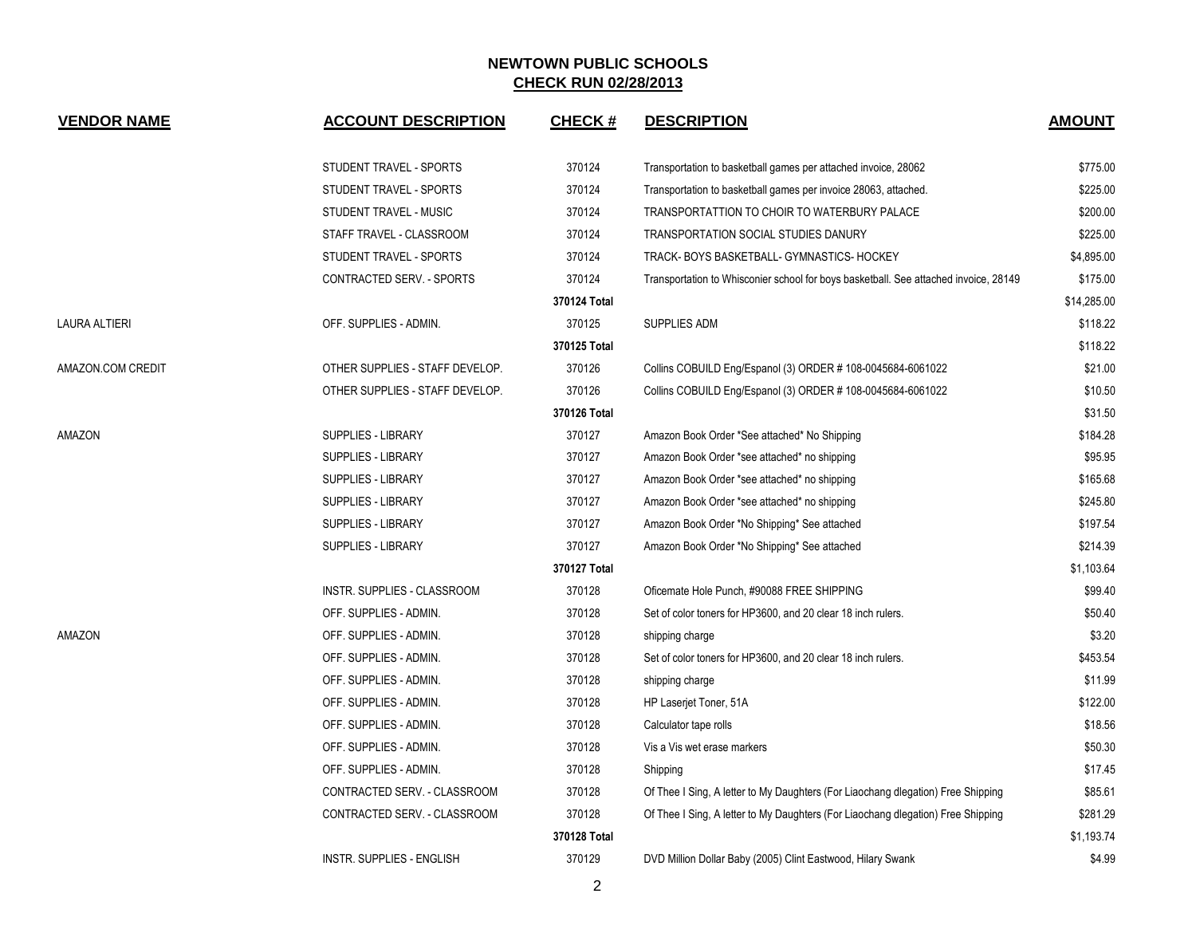| <b>VENDOR NAME</b> | <b>ACCOUNT DESCRIPTION</b>       | <b>CHECK#</b> | <b>DESCRIPTION</b>                                                                   | <b>AMOUNT</b> |
|--------------------|----------------------------------|---------------|--------------------------------------------------------------------------------------|---------------|
|                    | STUDENT TRAVEL - SPORTS          | 370124        | Transportation to basketball games per attached invoice, 28062                       | \$775.00      |
|                    | STUDENT TRAVEL - SPORTS          | 370124        | Transportation to basketball games per invoice 28063, attached.                      | \$225.00      |
|                    | STUDENT TRAVEL - MUSIC           | 370124        | TRANSPORTATTION TO CHOIR TO WATERBURY PALACE                                         | \$200.00      |
|                    | STAFF TRAVEL - CLASSROOM         | 370124        | TRANSPORTATION SOCIAL STUDIES DANURY                                                 | \$225.00      |
|                    | STUDENT TRAVEL - SPORTS          | 370124        | TRACK- BOYS BASKETBALL- GYMNASTICS- HOCKEY                                           | \$4,895.00    |
|                    | CONTRACTED SERV. - SPORTS        | 370124        | Transportation to Whisconier school for boys basketball. See attached invoice, 28149 | \$175.00      |
|                    |                                  | 370124 Total  |                                                                                      | \$14,285.00   |
| LAURA ALTIERI      | OFF. SUPPLIES - ADMIN.           | 370125        | <b>SUPPLIES ADM</b>                                                                  | \$118.22      |
|                    |                                  | 370125 Total  |                                                                                      | \$118.22      |
| AMAZON.COM CREDIT  | OTHER SUPPLIES - STAFF DEVELOP.  | 370126        | Collins COBUILD Eng/Espanol (3) ORDER #108-0045684-6061022                           | \$21.00       |
|                    | OTHER SUPPLIES - STAFF DEVELOP.  | 370126        | Collins COBUILD Eng/Espanol (3) ORDER #108-0045684-6061022                           | \$10.50       |
|                    |                                  | 370126 Total  |                                                                                      | \$31.50       |
| AMAZON             | SUPPLIES - LIBRARY               | 370127        | Amazon Book Order *See attached* No Shipping                                         | \$184.28      |
|                    | SUPPLIES - LIBRARY               | 370127        | Amazon Book Order *see attached* no shipping                                         | \$95.95       |
|                    | SUPPLIES - LIBRARY               | 370127        | Amazon Book Order *see attached* no shipping                                         | \$165.68      |
|                    | SUPPLIES - LIBRARY               | 370127        | Amazon Book Order *see attached* no shipping                                         | \$245.80      |
|                    | SUPPLIES - LIBRARY               | 370127        | Amazon Book Order *No Shipping* See attached                                         | \$197.54      |
|                    | <b>SUPPLIES - LIBRARY</b>        | 370127        | Amazon Book Order *No Shipping* See attached                                         | \$214.39      |
|                    |                                  | 370127 Total  |                                                                                      | \$1,103.64    |
|                    | INSTR. SUPPLIES - CLASSROOM      | 370128        | Oficemate Hole Punch, #90088 FREE SHIPPING                                           | \$99.40       |
|                    | OFF. SUPPLIES - ADMIN.           | 370128        | Set of color toners for HP3600, and 20 clear 18 inch rulers.                         | \$50.40       |
| AMAZON             | OFF. SUPPLIES - ADMIN.           | 370128        | shipping charge                                                                      | \$3.20        |
|                    | OFF. SUPPLIES - ADMIN.           | 370128        | Set of color toners for HP3600, and 20 clear 18 inch rulers.                         | \$453.54      |
|                    | OFF. SUPPLIES - ADMIN.           | 370128        | shipping charge                                                                      | \$11.99       |
|                    | OFF. SUPPLIES - ADMIN.           | 370128        | HP Laserjet Toner, 51A                                                               | \$122.00      |
|                    | OFF. SUPPLIES - ADMIN.           | 370128        | Calculator tape rolls                                                                | \$18.56       |
|                    | OFF. SUPPLIES - ADMIN.           | 370128        | Vis a Vis wet erase markers                                                          | \$50.30       |
|                    | OFF. SUPPLIES - ADMIN.           | 370128        | Shipping                                                                             | \$17.45       |
|                    | CONTRACTED SERV. - CLASSROOM     | 370128        | Of Thee I Sing, A letter to My Daughters (For Liaochang dlegation) Free Shipping     | \$85.61       |
|                    | CONTRACTED SERV. - CLASSROOM     | 370128        | Of Thee I Sing, A letter to My Daughters (For Liaochang dlegation) Free Shipping     | \$281.29      |
|                    |                                  | 370128 Total  |                                                                                      | \$1,193.74    |
|                    | <b>INSTR. SUPPLIES - ENGLISH</b> | 370129        | DVD Million Dollar Baby (2005) Clint Eastwood, Hilary Swank                          | \$4.99        |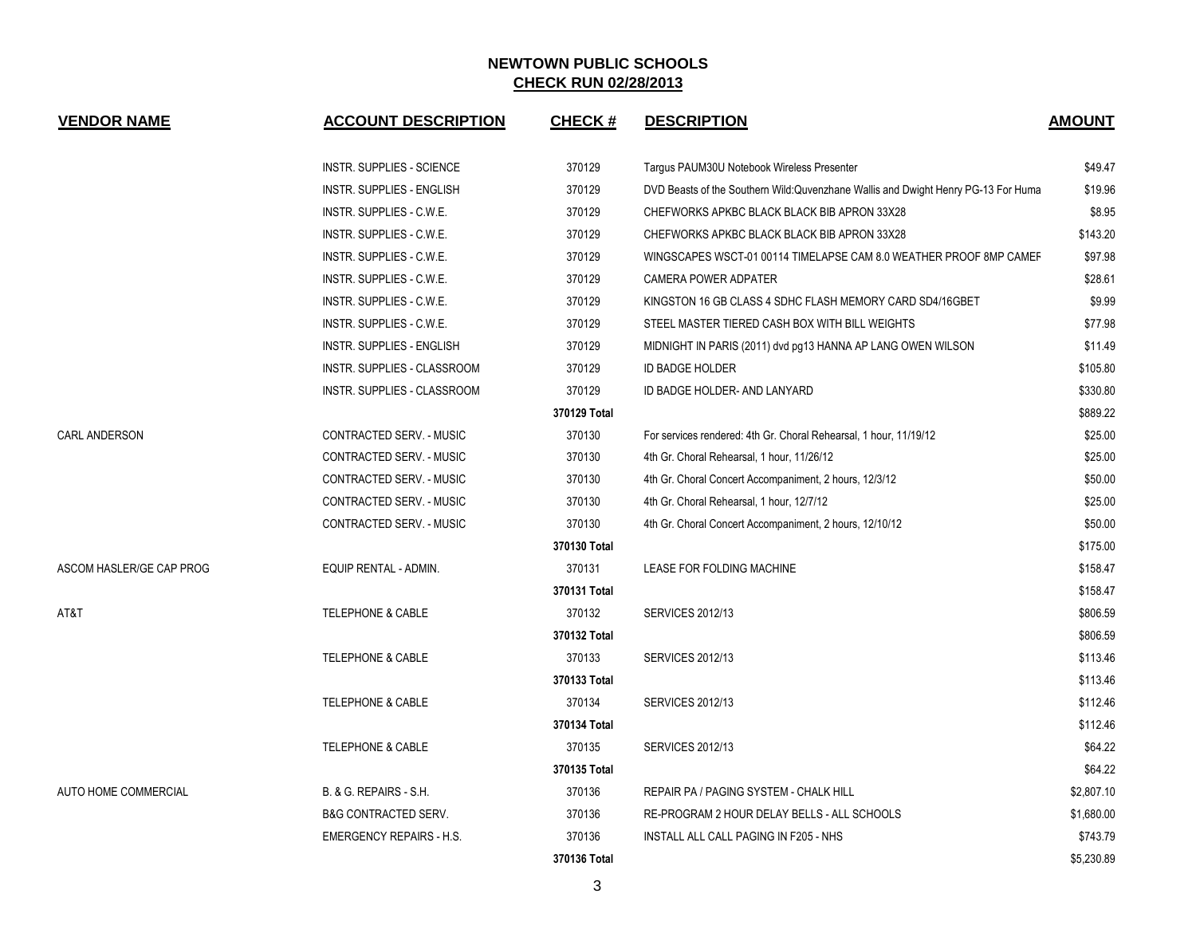| <b>VENDOR NAME</b>       | <b>ACCOUNT DESCRIPTION</b>        | <b>CHECK#</b> | <b>DESCRIPTION</b>                                                                 | <b>AMOUNT</b> |
|--------------------------|-----------------------------------|---------------|------------------------------------------------------------------------------------|---------------|
|                          | INSTR. SUPPLIES - SCIENCE         | 370129        | Targus PAUM30U Notebook Wireless Presenter                                         | \$49.47       |
|                          | INSTR. SUPPLIES - ENGLISH         | 370129        | DVD Beasts of the Southern Wild: Quvenzhane Wallis and Dwight Henry PG-13 For Huma | \$19.96       |
|                          | INSTR. SUPPLIES - C.W.E.          | 370129        | CHEFWORKS APKBC BLACK BLACK BIB APRON 33X28                                        | \$8.95        |
|                          | INSTR. SUPPLIES - C.W.E.          | 370129        | CHEFWORKS APKBC BLACK BLACK BIB APRON 33X28                                        | \$143.20      |
|                          | INSTR. SUPPLIES - C.W.E.          | 370129        | WINGSCAPES WSCT-01 00114 TIMELAPSE CAM 8.0 WEATHER PROOF 8MP CAMEF                 | \$97.98       |
|                          | INSTR. SUPPLIES - C.W.E.          | 370129        | <b>CAMERA POWER ADPATER</b>                                                        | \$28.61       |
|                          | INSTR. SUPPLIES - C.W.E.          | 370129        | KINGSTON 16 GB CLASS 4 SDHC FLASH MEMORY CARD SD4/16GBET                           | \$9.99        |
|                          | INSTR. SUPPLIES - C.W.E.          | 370129        | STEEL MASTER TIERED CASH BOX WITH BILL WEIGHTS                                     | \$77.98       |
|                          | INSTR. SUPPLIES - ENGLISH         | 370129        | MIDNIGHT IN PARIS (2011) dvd pg13 HANNA AP LANG OWEN WILSON                        | \$11.49       |
|                          | INSTR. SUPPLIES - CLASSROOM       | 370129        | <b>ID BADGE HOLDER</b>                                                             | \$105.80      |
|                          | INSTR. SUPPLIES - CLASSROOM       | 370129        | ID BADGE HOLDER- AND LANYARD                                                       | \$330.80      |
|                          |                                   | 370129 Total  |                                                                                    | \$889.22      |
| <b>CARL ANDERSON</b>     | CONTRACTED SERV. - MUSIC          | 370130        | For services rendered: 4th Gr. Choral Rehearsal, 1 hour, 11/19/12                  | \$25.00       |
|                          | CONTRACTED SERV. - MUSIC          | 370130        | 4th Gr. Choral Rehearsal, 1 hour, 11/26/12                                         | \$25.00       |
|                          | CONTRACTED SERV. - MUSIC          | 370130        | 4th Gr. Choral Concert Accompaniment, 2 hours, 12/3/12                             | \$50.00       |
|                          | CONTRACTED SERV. - MUSIC          | 370130        | 4th Gr. Choral Rehearsal, 1 hour, 12/7/12                                          | \$25.00       |
|                          | CONTRACTED SERV. - MUSIC          | 370130        | 4th Gr. Choral Concert Accompaniment, 2 hours, 12/10/12                            | \$50.00       |
|                          |                                   | 370130 Total  |                                                                                    | \$175.00      |
| ASCOM HASLER/GE CAP PROG | EQUIP RENTAL - ADMIN.             | 370131        | LEASE FOR FOLDING MACHINE                                                          | \$158.47      |
|                          |                                   | 370131 Total  |                                                                                    | \$158.47      |
| AT&T                     | <b>TELEPHONE &amp; CABLE</b>      | 370132        | <b>SERVICES 2012/13</b>                                                            | \$806.59      |
|                          |                                   | 370132 Total  |                                                                                    | \$806.59      |
|                          | <b>TELEPHONE &amp; CABLE</b>      | 370133        | <b>SERVICES 2012/13</b>                                                            | \$113.46      |
|                          |                                   | 370133 Total  |                                                                                    | \$113.46      |
|                          | TELEPHONE & CABLE                 | 370134        | <b>SERVICES 2012/13</b>                                                            | \$112.46      |
|                          |                                   | 370134 Total  |                                                                                    | \$112.46      |
|                          | <b>TELEPHONE &amp; CABLE</b>      | 370135        | <b>SERVICES 2012/13</b>                                                            | \$64.22       |
|                          |                                   | 370135 Total  |                                                                                    | \$64.22       |
| AUTO HOME COMMERCIAL     | <b>B. &amp; G. REPAIRS - S.H.</b> | 370136        | REPAIR PA / PAGING SYSTEM - CHALK HILL                                             | \$2,807.10    |
|                          | <b>B&amp;G CONTRACTED SERV.</b>   | 370136        | RE-PROGRAM 2 HOUR DELAY BELLS - ALL SCHOOLS                                        | \$1,680.00    |
|                          | <b>EMERGENCY REPAIRS - H.S.</b>   | 370136        | INSTALL ALL CALL PAGING IN F205 - NHS                                              | \$743.79      |
|                          |                                   | 370136 Total  |                                                                                    | \$5,230.89    |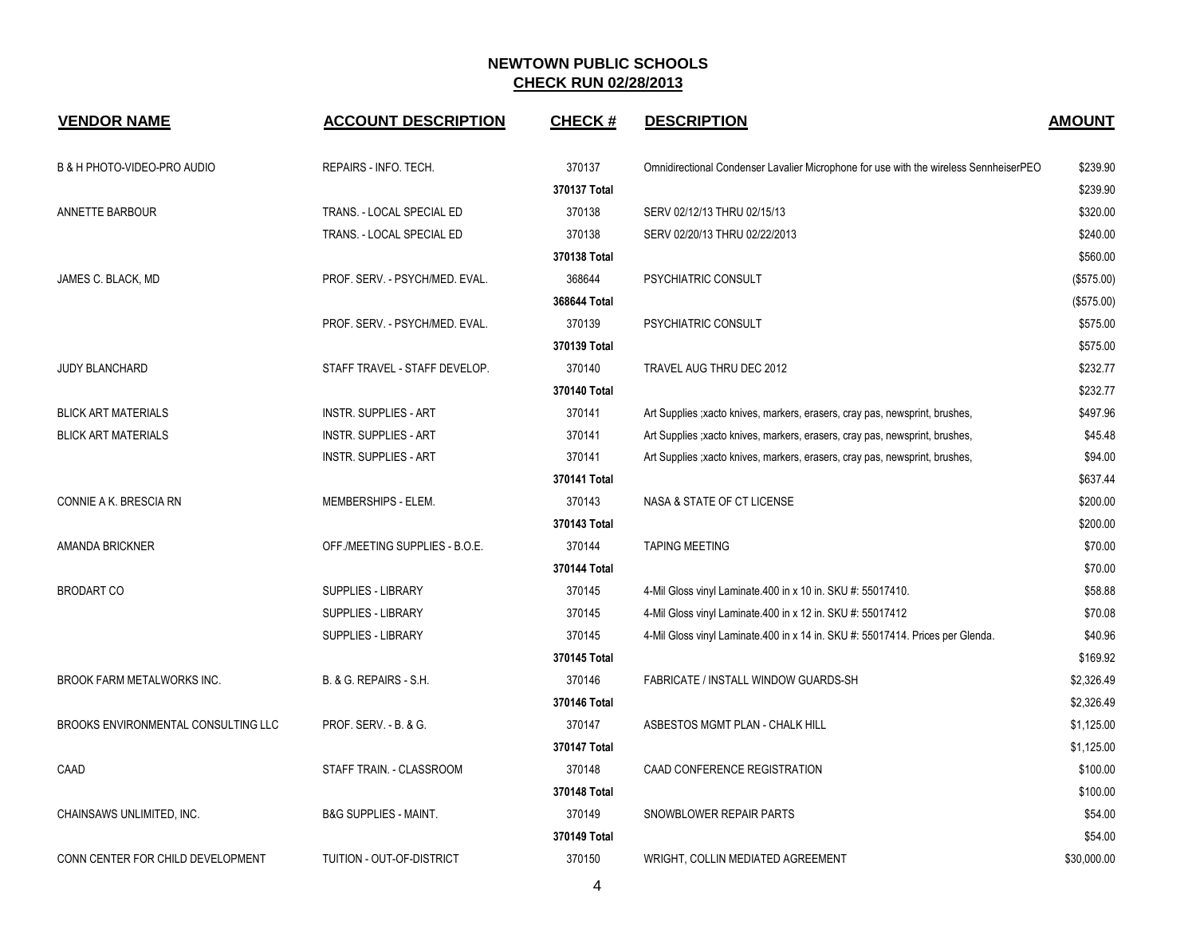| <b>VENDOR NAME</b>                  | <b>ACCOUNT DESCRIPTION</b>       | <b>CHECK#</b> | <b>DESCRIPTION</b>                                                                    | <b>AMOUNT</b> |
|-------------------------------------|----------------------------------|---------------|---------------------------------------------------------------------------------------|---------------|
| B & H PHOTO-VIDEO-PRO AUDIO         | REPAIRS - INFO. TECH.            | 370137        | Omnidirectional Condenser Lavalier Microphone for use with the wireless SennheiserPEO | \$239.90      |
|                                     |                                  | 370137 Total  |                                                                                       | \$239.90      |
| ANNETTE BARBOUR                     | TRANS. - LOCAL SPECIAL ED        | 370138        | SERV 02/12/13 THRU 02/15/13                                                           | \$320.00      |
|                                     | TRANS. - LOCAL SPECIAL ED        | 370138        | SERV 02/20/13 THRU 02/22/2013                                                         | \$240.00      |
|                                     |                                  | 370138 Total  |                                                                                       | \$560.00      |
| JAMES C. BLACK, MD                  | PROF. SERV. - PSYCH/MED. EVAL.   | 368644        | PSYCHIATRIC CONSULT                                                                   | (\$575.00)    |
|                                     |                                  | 368644 Total  |                                                                                       | (\$575.00)    |
|                                     | PROF. SERV. - PSYCH/MED. EVAL.   | 370139        | PSYCHIATRIC CONSULT                                                                   | \$575.00      |
|                                     |                                  | 370139 Total  |                                                                                       | \$575.00      |
| <b>JUDY BLANCHARD</b>               | STAFF TRAVEL - STAFF DEVELOP.    | 370140        | TRAVEL AUG THRU DEC 2012                                                              | \$232.77      |
|                                     |                                  | 370140 Total  |                                                                                       | \$232.77      |
| <b>BLICK ART MATERIALS</b>          | <b>INSTR. SUPPLIES - ART</b>     | 370141        | Art Supplies ; xacto knives, markers, erasers, cray pas, newsprint, brushes,          | \$497.96      |
| <b>BLICK ART MATERIALS</b>          | <b>INSTR. SUPPLIES - ART</b>     | 370141        | Art Supplies ;xacto knives, markers, erasers, cray pas, newsprint, brushes,           | \$45.48       |
|                                     | <b>INSTR. SUPPLIES - ART</b>     | 370141        | Art Supplies ; xacto knives, markers, erasers, cray pas, newsprint, brushes,          | \$94.00       |
|                                     |                                  | 370141 Total  |                                                                                       | \$637.44      |
| CONNIE A K. BRESCIA RN              | MEMBERSHIPS - ELEM.              | 370143        | NASA & STATE OF CT LICENSE                                                            | \$200.00      |
|                                     |                                  | 370143 Total  |                                                                                       | \$200.00      |
| AMANDA BRICKNER                     | OFF./MEETING SUPPLIES - B.O.E.   | 370144        | <b>TAPING MEETING</b>                                                                 | \$70.00       |
|                                     |                                  | 370144 Total  |                                                                                       | \$70.00       |
| <b>BRODART CO</b>                   | <b>SUPPLIES - LIBRARY</b>        | 370145        | 4-Mil Gloss vinyl Laminate.400 in x 10 in. SKU #: 55017410.                           | \$58.88       |
|                                     | <b>SUPPLIES - LIBRARY</b>        | 370145        | 4-Mil Gloss vinyl Laminate.400 in x 12 in. SKU #: 55017412                            | \$70.08       |
|                                     | <b>SUPPLIES - LIBRARY</b>        | 370145        | 4-Mil Gloss vinyl Laminate.400 in x 14 in. SKU #: 55017414. Prices per Glenda.        | \$40.96       |
|                                     |                                  | 370145 Total  |                                                                                       | \$169.92      |
| BROOK FARM METALWORKS INC.          | B. & G. REPAIRS - S.H.           | 370146        | FABRICATE / INSTALL WINDOW GUARDS-SH                                                  | \$2,326.49    |
|                                     |                                  | 370146 Total  |                                                                                       | \$2,326.49    |
| BROOKS ENVIRONMENTAL CONSULTING LLC | PROF. SERV. - B. & G.            | 370147        | ASBESTOS MGMT PLAN - CHALK HILL                                                       | \$1,125.00    |
|                                     |                                  | 370147 Total  |                                                                                       | \$1,125.00    |
| CAAD                                | STAFF TRAIN. - CLASSROOM         | 370148        | CAAD CONFERENCE REGISTRATION                                                          | \$100.00      |
|                                     |                                  | 370148 Total  |                                                                                       | \$100.00      |
| CHAINSAWS UNLIMITED, INC.           | <b>B&amp;G SUPPLIES - MAINT.</b> | 370149        | SNOWBLOWER REPAIR PARTS                                                               | \$54.00       |
|                                     |                                  | 370149 Total  |                                                                                       | \$54.00       |
| CONN CENTER FOR CHILD DEVELOPMENT   | TUITION - OUT-OF-DISTRICT        | 370150        | WRIGHT, COLLIN MEDIATED AGREEMENT                                                     | \$30,000.00   |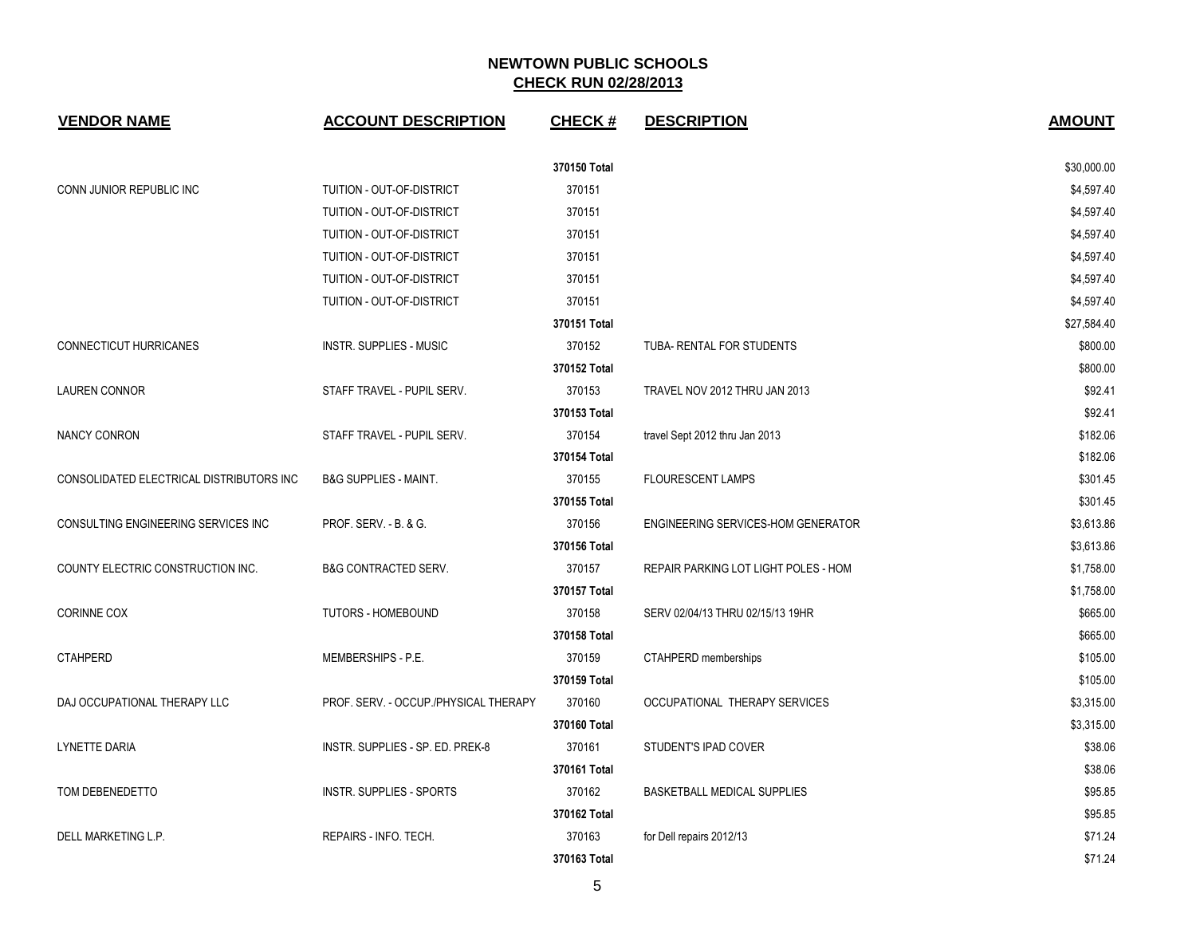| <b>VENDOR NAME</b>                       | <b>ACCOUNT DESCRIPTION</b>            | <b>CHECK#</b> | <b>DESCRIPTION</b>                   | <b>AMOUNT</b> |
|------------------------------------------|---------------------------------------|---------------|--------------------------------------|---------------|
|                                          |                                       | 370150 Total  |                                      | \$30,000.00   |
| CONN JUNIOR REPUBLIC INC                 | TUITION - OUT-OF-DISTRICT             | 370151        |                                      | \$4,597.40    |
|                                          | TUITION - OUT-OF-DISTRICT             | 370151        |                                      | \$4,597.40    |
|                                          | TUITION - OUT-OF-DISTRICT             | 370151        |                                      | \$4,597.40    |
|                                          | TUITION - OUT-OF-DISTRICT             | 370151        |                                      | \$4,597.40    |
|                                          | TUITION - OUT-OF-DISTRICT             | 370151        |                                      | \$4,597.40    |
|                                          | TUITION - OUT-OF-DISTRICT             | 370151        |                                      | \$4,597.40    |
|                                          |                                       | 370151 Total  |                                      | \$27,584.40   |
| CONNECTICUT HURRICANES                   | <b>INSTR. SUPPLIES - MUSIC</b>        | 370152        | TUBA- RENTAL FOR STUDENTS            | \$800.00      |
|                                          |                                       | 370152 Total  |                                      | \$800.00      |
| <b>LAUREN CONNOR</b>                     | STAFF TRAVEL - PUPIL SERV.            | 370153        | TRAVEL NOV 2012 THRU JAN 2013        | \$92.41       |
|                                          |                                       | 370153 Total  |                                      | \$92.41       |
| <b>NANCY CONRON</b>                      | STAFF TRAVEL - PUPIL SERV.            | 370154        | travel Sept 2012 thru Jan 2013       | \$182.06      |
|                                          |                                       | 370154 Total  |                                      | \$182.06      |
| CONSOLIDATED ELECTRICAL DISTRIBUTORS INC | <b>B&amp;G SUPPLIES - MAINT.</b>      | 370155        | <b>FLOURESCENT LAMPS</b>             | \$301.45      |
|                                          |                                       | 370155 Total  |                                      | \$301.45      |
| CONSULTING ENGINEERING SERVICES INC      | PROF. SERV. - B. & G.                 | 370156        | ENGINEERING SERVICES-HOM GENERATOR   | \$3,613.86    |
|                                          |                                       | 370156 Total  |                                      | \$3,613.86    |
| COUNTY ELECTRIC CONSTRUCTION INC.        | <b>B&amp;G CONTRACTED SERV.</b>       | 370157        | REPAIR PARKING LOT LIGHT POLES - HOM | \$1,758.00    |
|                                          |                                       | 370157 Total  |                                      | \$1,758.00    |
| <b>CORINNE COX</b>                       | <b>TUTORS - HOMEBOUND</b>             | 370158        | SERV 02/04/13 THRU 02/15/13 19HR     | \$665.00      |
|                                          |                                       | 370158 Total  |                                      | \$665.00      |
| <b>CTAHPERD</b>                          | MEMBERSHIPS - P.E.                    | 370159        | CTAHPERD memberships                 | \$105.00      |
|                                          |                                       | 370159 Total  |                                      | \$105.00      |
| DAJ OCCUPATIONAL THERAPY LLC             | PROF. SERV. - OCCUP./PHYSICAL THERAPY | 370160        | OCCUPATIONAL THERAPY SERVICES        | \$3,315.00    |
|                                          |                                       | 370160 Total  |                                      | \$3,315.00    |
| LYNETTE DARIA                            | INSTR. SUPPLIES - SP. ED. PREK-8      | 370161        | STUDENT'S IPAD COVER                 | \$38.06       |
|                                          |                                       | 370161 Total  |                                      | \$38.06       |
| TOM DEBENEDETTO                          | <b>INSTR. SUPPLIES - SPORTS</b>       | 370162        | <b>BASKETBALL MEDICAL SUPPLIES</b>   | \$95.85       |
|                                          |                                       | 370162 Total  |                                      | \$95.85       |
| DELL MARKETING L.P.                      | REPAIRS - INFO. TECH.                 | 370163        | for Dell repairs 2012/13             | \$71.24       |
|                                          |                                       | 370163 Total  |                                      | \$71.24       |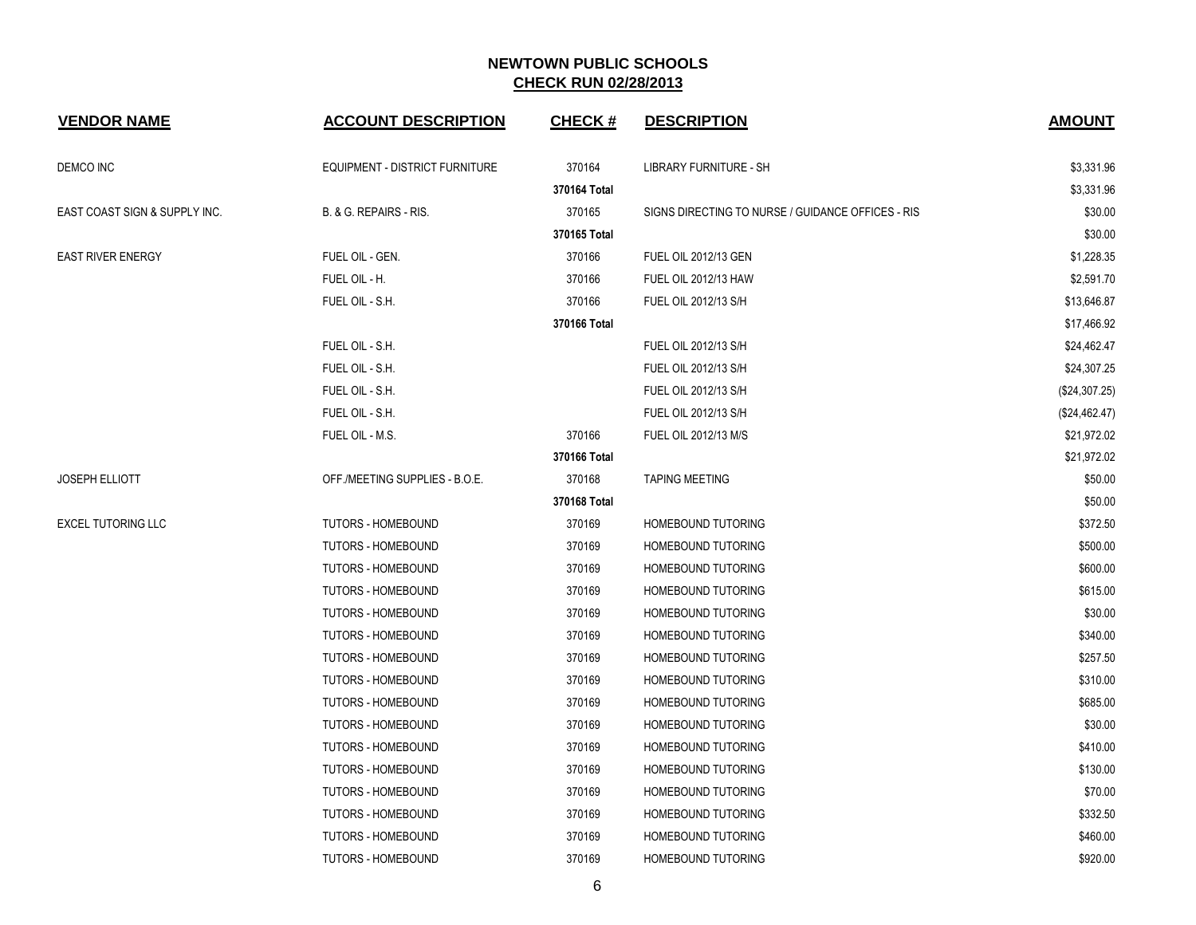| <b>VENDOR NAME</b>            | <b>ACCOUNT DESCRIPTION</b>     | <b>CHECK#</b> | <b>DESCRIPTION</b>                                | <b>AMOUNT</b> |
|-------------------------------|--------------------------------|---------------|---------------------------------------------------|---------------|
| DEMCO INC                     | EQUIPMENT - DISTRICT FURNITURE | 370164        | <b>LIBRARY FURNITURE - SH</b>                     | \$3,331.96    |
|                               |                                | 370164 Total  |                                                   | \$3,331.96    |
| EAST COAST SIGN & SUPPLY INC. | B. & G. REPAIRS - RIS.         | 370165        | SIGNS DIRECTING TO NURSE / GUIDANCE OFFICES - RIS | \$30.00       |
|                               |                                | 370165 Total  |                                                   | \$30.00       |
| EAST RIVER ENERGY             | FUEL OIL - GEN.                | 370166        | <b>FUEL OIL 2012/13 GEN</b>                       | \$1,228.35    |
|                               | FUEL OIL - H.                  | 370166        | <b>FUEL OIL 2012/13 HAW</b>                       | \$2,591.70    |
|                               | FUEL OIL - S.H.                | 370166        | FUEL OIL 2012/13 S/H                              | \$13,646.87   |
|                               |                                | 370166 Total  |                                                   | \$17,466.92   |
|                               | FUEL OIL - S.H.                |               | FUEL OIL 2012/13 S/H                              | \$24,462.47   |
|                               | FUEL OIL - S.H.                |               | FUEL OIL 2012/13 S/H                              | \$24,307.25   |
|                               | FUEL OIL - S.H.                |               | FUEL OIL 2012/13 S/H                              | (\$24,307.25) |
|                               | FUEL OIL - S.H.                |               | FUEL OIL 2012/13 S/H                              | (\$24,462.47) |
|                               | FUEL OIL - M.S.                | 370166        | FUEL OIL 2012/13 M/S                              | \$21,972.02   |
|                               |                                | 370166 Total  |                                                   | \$21,972.02   |
| <b>JOSEPH ELLIOTT</b>         | OFF./MEETING SUPPLIES - B.O.E. | 370168        | <b>TAPING MEETING</b>                             | \$50.00       |
|                               |                                | 370168 Total  |                                                   | \$50.00       |
| <b>EXCEL TUTORING LLC</b>     | <b>TUTORS - HOMEBOUND</b>      | 370169        | HOMEBOUND TUTORING                                | \$372.50      |
|                               | <b>TUTORS - HOMEBOUND</b>      | 370169        | <b>HOMEBOUND TUTORING</b>                         | \$500.00      |
|                               | <b>TUTORS - HOMEBOUND</b>      | 370169        | <b>HOMEBOUND TUTORING</b>                         | \$600.00      |
|                               | <b>TUTORS - HOMEBOUND</b>      | 370169        | HOMEBOUND TUTORING                                | \$615.00      |
|                               | TUTORS - HOMEBOUND             | 370169        | HOMEBOUND TUTORING                                | \$30.00       |
|                               | TUTORS - HOMEBOUND             | 370169        | <b>HOMEBOUND TUTORING</b>                         | \$340.00      |
|                               | <b>TUTORS - HOMEBOUND</b>      | 370169        | HOMEBOUND TUTORING                                | \$257.50      |
|                               | TUTORS - HOMEBOUND             | 370169        | <b>HOMEBOUND TUTORING</b>                         | \$310.00      |
|                               | TUTORS - HOMEBOUND             | 370169        | <b>HOMEBOUND TUTORING</b>                         | \$685.00      |
|                               | TUTORS - HOMEBOUND             | 370169        | HOMEBOUND TUTORING                                | \$30.00       |
|                               | TUTORS - HOMEBOUND             | 370169        | HOMEBOUND TUTORING                                | \$410.00      |
|                               | <b>TUTORS - HOMEBOUND</b>      | 370169        | <b>HOMEBOUND TUTORING</b>                         | \$130.00      |
|                               | <b>TUTORS - HOMEBOUND</b>      | 370169        | <b>HOMEBOUND TUTORING</b>                         | \$70.00       |
|                               | TUTORS - HOMEBOUND             | 370169        | HOMEBOUND TUTORING                                | \$332.50      |
|                               | TUTORS - HOMEBOUND             | 370169        | HOMEBOUND TUTORING                                | \$460.00      |
|                               | <b>TUTORS - HOMEBOUND</b>      | 370169        | HOMEBOUND TUTORING                                | \$920.00      |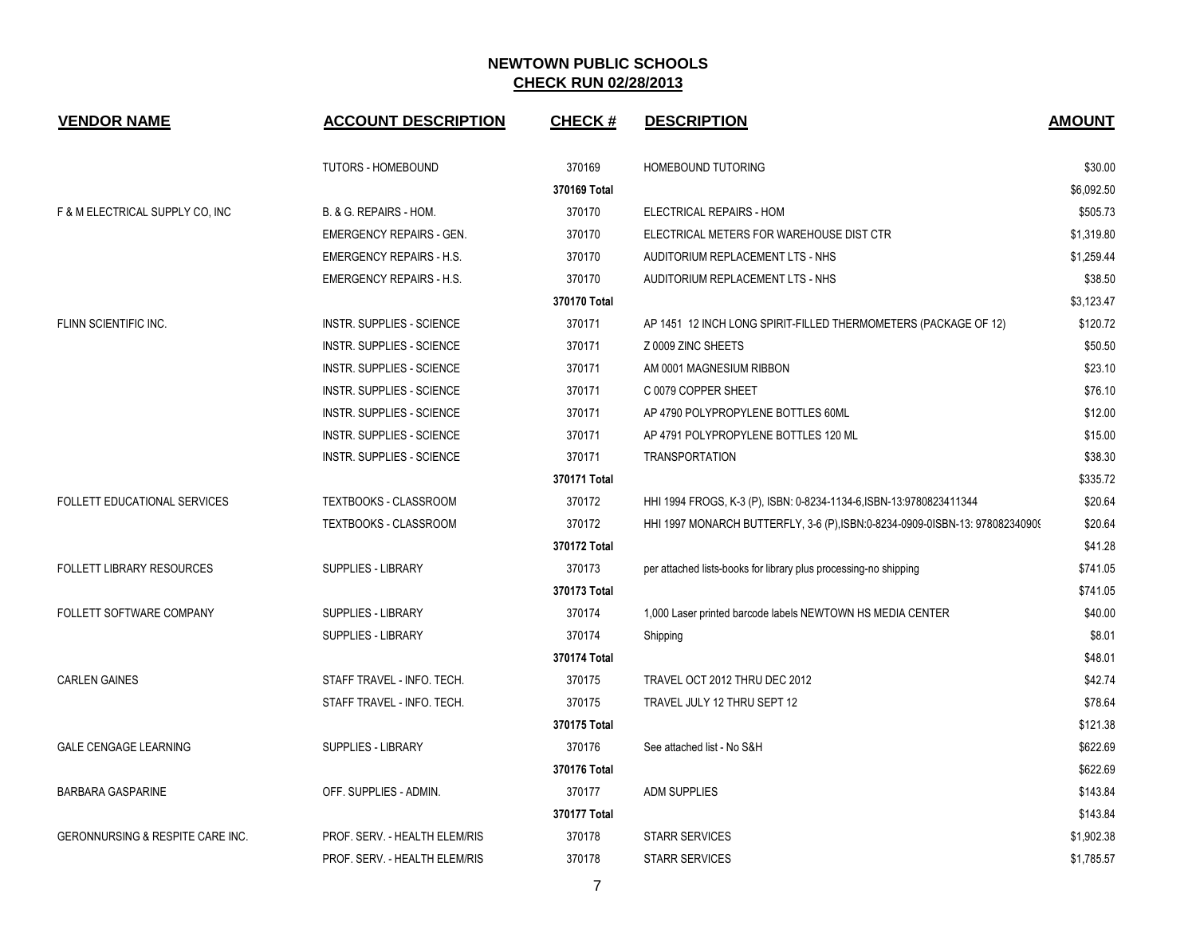| <b>VENDOR NAME</b>                          | <b>ACCOUNT DESCRIPTION</b>       | <b>CHECK#</b> | <b>DESCRIPTION</b>                                                           | <b>AMOUNT</b> |
|---------------------------------------------|----------------------------------|---------------|------------------------------------------------------------------------------|---------------|
|                                             | TUTORS - HOMEBOUND               | 370169        | <b>HOMEBOUND TUTORING</b>                                                    | \$30.00       |
|                                             |                                  | 370169 Total  |                                                                              | \$6,092.50    |
| F & M ELECTRICAL SUPPLY CO, INC             | B. & G. REPAIRS - HOM.           | 370170        | ELECTRICAL REPAIRS - HOM                                                     | \$505.73      |
|                                             | <b>EMERGENCY REPAIRS - GEN.</b>  | 370170        | ELECTRICAL METERS FOR WAREHOUSE DIST CTR                                     | \$1,319.80    |
|                                             | <b>EMERGENCY REPAIRS - H.S.</b>  | 370170        | AUDITORIUM REPLACEMENT LTS - NHS                                             | \$1,259.44    |
|                                             | <b>EMERGENCY REPAIRS - H.S.</b>  | 370170        | AUDITORIUM REPLACEMENT LTS - NHS                                             | \$38.50       |
|                                             |                                  | 370170 Total  |                                                                              | \$3,123.47    |
| FLINN SCIENTIFIC INC.                       | INSTR. SUPPLIES - SCIENCE        | 370171        | AP 1451 12 INCH LONG SPIRIT-FILLED THERMOMETERS (PACKAGE OF 12)              | \$120.72      |
|                                             | INSTR. SUPPLIES - SCIENCE        | 370171        | Z 0009 ZINC SHEETS                                                           | \$50.50       |
|                                             | INSTR. SUPPLIES - SCIENCE        | 370171        | AM 0001 MAGNESIUM RIBBON                                                     | \$23.10       |
|                                             | <b>INSTR. SUPPLIES - SCIENCE</b> | 370171        | C 0079 COPPER SHEET                                                          | \$76.10       |
|                                             | INSTR. SUPPLIES - SCIENCE        | 370171        | AP 4790 POLYPROPYLENE BOTTLES 60ML                                           | \$12.00       |
|                                             | INSTR. SUPPLIES - SCIENCE        | 370171        | AP 4791 POLYPROPYLENE BOTTLES 120 ML                                         | \$15.00       |
|                                             | INSTR. SUPPLIES - SCIENCE        | 370171        | <b>TRANSPORTATION</b>                                                        | \$38.30       |
|                                             |                                  | 370171 Total  |                                                                              | \$335.72      |
| FOLLETT EDUCATIONAL SERVICES                | TEXTBOOKS - CLASSROOM            | 370172        | HHI 1994 FROGS, K-3 (P), ISBN: 0-8234-1134-6, ISBN-13:9780823411344          | \$20.64       |
|                                             | TEXTBOOKS - CLASSROOM            | 370172        | HHI 1997 MONARCH BUTTERFLY, 3-6 (P), ISBN:0-8234-0909-0ISBN-13: 978082340909 | \$20.64       |
|                                             |                                  | 370172 Total  |                                                                              | \$41.28       |
| <b>FOLLETT LIBRARY RESOURCES</b>            | SUPPLIES - LIBRARY               | 370173        | per attached lists-books for library plus processing-no shipping             | \$741.05      |
|                                             |                                  | 370173 Total  |                                                                              | \$741.05      |
| FOLLETT SOFTWARE COMPANY                    | <b>SUPPLIES - LIBRARY</b>        | 370174        | 1,000 Laser printed barcode labels NEWTOWN HS MEDIA CENTER                   | \$40.00       |
|                                             | <b>SUPPLIES - LIBRARY</b>        | 370174        | Shipping                                                                     | \$8.01        |
|                                             |                                  | 370174 Total  |                                                                              | \$48.01       |
| <b>CARLEN GAINES</b>                        | STAFF TRAVEL - INFO. TECH.       | 370175        | TRAVEL OCT 2012 THRU DEC 2012                                                | \$42.74       |
|                                             | STAFF TRAVEL - INFO. TECH.       | 370175        | TRAVEL JULY 12 THRU SEPT 12                                                  | \$78.64       |
|                                             |                                  | 370175 Total  |                                                                              | \$121.38      |
| <b>GALE CENGAGE LEARNING</b>                | <b>SUPPLIES - LIBRARY</b>        | 370176        | See attached list - No S&H                                                   | \$622.69      |
|                                             |                                  | 370176 Total  |                                                                              | \$622.69      |
| <b>BARBARA GASPARINE</b>                    | OFF. SUPPLIES - ADMIN.           | 370177        | <b>ADM SUPPLIES</b>                                                          | \$143.84      |
|                                             |                                  | 370177 Total  |                                                                              | \$143.84      |
| <b>GERONNURSING &amp; RESPITE CARE INC.</b> | PROF. SERV. - HEALTH ELEM/RIS    | 370178        | <b>STARR SERVICES</b>                                                        | \$1,902.38    |
|                                             | PROF. SERV. - HEALTH ELEM/RIS    | 370178        | <b>STARR SERVICES</b>                                                        | \$1,785.57    |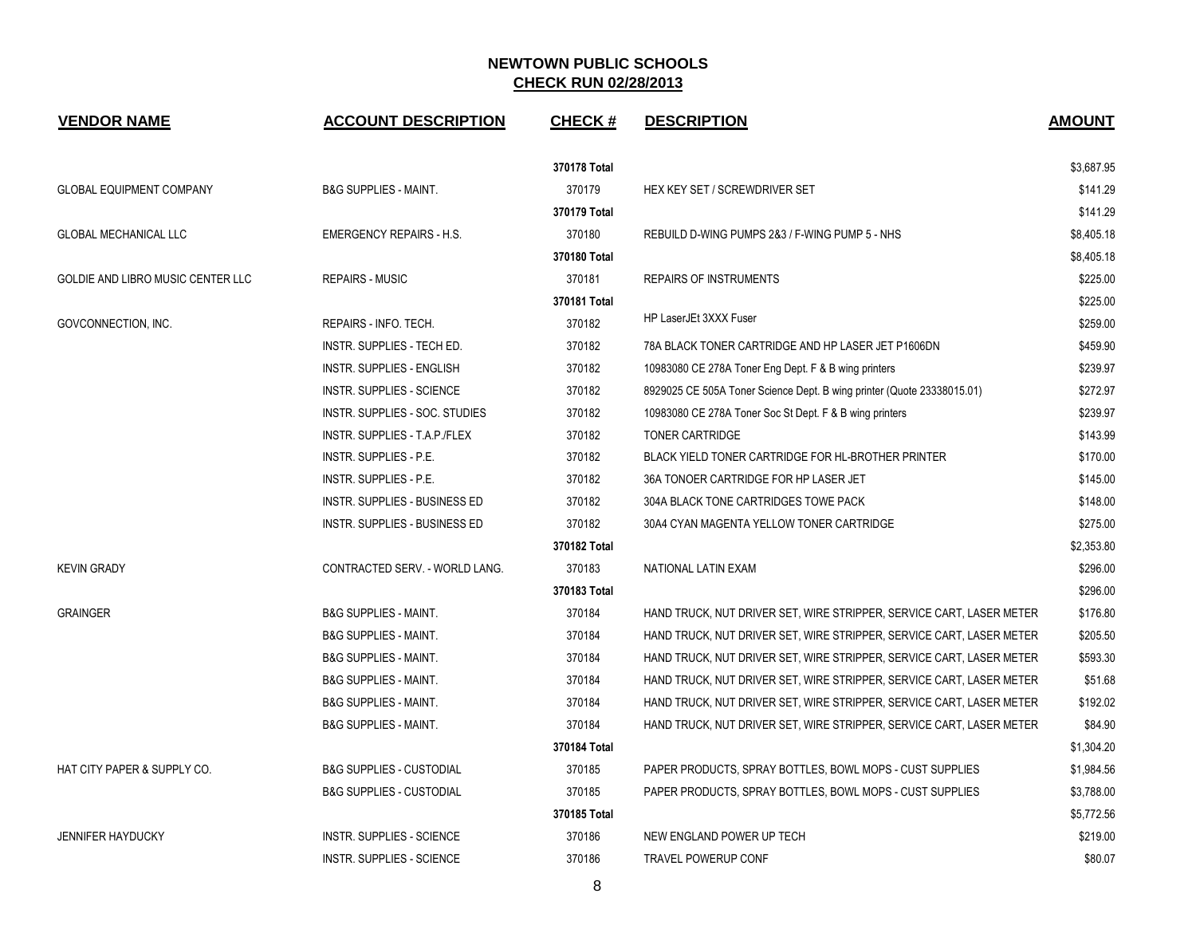| <b>VENDOR NAME</b>                | <b>ACCOUNT DESCRIPTION</b>          | <b>CHECK#</b> | <b>DESCRIPTION</b>                                                     | <b>AMOUNT</b> |
|-----------------------------------|-------------------------------------|---------------|------------------------------------------------------------------------|---------------|
|                                   |                                     | 370178 Total  |                                                                        | \$3,687.95    |
| <b>GLOBAL EQUIPMENT COMPANY</b>   | <b>B&amp;G SUPPLIES - MAINT.</b>    | 370179        | HEX KEY SET / SCREWDRIVER SET                                          | \$141.29      |
|                                   |                                     | 370179 Total  |                                                                        | \$141.29      |
| <b>GLOBAL MECHANICAL LLC</b>      | <b>EMERGENCY REPAIRS - H.S.</b>     | 370180        | REBUILD D-WING PUMPS 2&3 / F-WING PUMP 5 - NHS                         | \$8.405.18    |
|                                   |                                     | 370180 Total  |                                                                        | \$8,405.18    |
| GOLDIE AND LIBRO MUSIC CENTER LLC | <b>REPAIRS - MUSIC</b>              | 370181        | <b>REPAIRS OF INSTRUMENTS</b>                                          | \$225.00      |
|                                   |                                     | 370181 Total  |                                                                        | \$225.00      |
| GOVCONNECTION, INC.               | REPAIRS - INFO. TECH.               | 370182        | HP LaserJEt 3XXX Fuser                                                 | \$259.00      |
|                                   | INSTR. SUPPLIES - TECH ED.          | 370182        | 78A BLACK TONER CARTRIDGE AND HP LASER JET P1606DN                     | \$459.90      |
|                                   | <b>INSTR. SUPPLIES - ENGLISH</b>    | 370182        | 10983080 CE 278A Toner Eng Dept. F & B wing printers                   | \$239.97      |
|                                   | INSTR. SUPPLIES - SCIENCE           | 370182        | 8929025 CE 505A Toner Science Dept. B wing printer (Quote 23338015.01) | \$272.97      |
|                                   | INSTR. SUPPLIES - SOC. STUDIES      | 370182        | 10983080 CE 278A Toner Soc St Dept. F & B wing printers                | \$239.97      |
|                                   | INSTR. SUPPLIES - T.A.P./FLEX       | 370182        | <b>TONER CARTRIDGE</b>                                                 | \$143.99      |
|                                   | <b>INSTR. SUPPLIES - P.E.</b>       | 370182        | BLACK YIELD TONER CARTRIDGE FOR HL-BROTHER PRINTER                     | \$170.00      |
|                                   | INSTR. SUPPLIES - P.E.              | 370182        | 36A TONOER CARTRIDGE FOR HP LASER JET                                  | \$145.00      |
|                                   | INSTR. SUPPLIES - BUSINESS ED       | 370182        | 304A BLACK TONE CARTRIDGES TOWE PACK                                   | \$148.00      |
|                                   | INSTR. SUPPLIES - BUSINESS ED       | 370182        | 30A4 CYAN MAGENTA YELLOW TONER CARTRIDGE                               | \$275.00      |
|                                   |                                     | 370182 Total  |                                                                        | \$2,353.80    |
| <b>KEVIN GRADY</b>                | CONTRACTED SERV. - WORLD LANG.      | 370183        | NATIONAL LATIN EXAM                                                    | \$296.00      |
|                                   |                                     | 370183 Total  |                                                                        | \$296.00      |
| <b>GRAINGER</b>                   | <b>B&amp;G SUPPLIES - MAINT.</b>    | 370184        | HAND TRUCK, NUT DRIVER SET, WIRE STRIPPER, SERVICE CART, LASER METER   | \$176.80      |
|                                   | <b>B&amp;G SUPPLIES - MAINT.</b>    | 370184        | HAND TRUCK, NUT DRIVER SET, WIRE STRIPPER, SERVICE CART, LASER METER   | \$205.50      |
|                                   | <b>B&amp;G SUPPLIES - MAINT.</b>    | 370184        | HAND TRUCK, NUT DRIVER SET, WIRE STRIPPER, SERVICE CART, LASER METER   | \$593.30      |
|                                   | <b>B&amp;G SUPPLIES - MAINT.</b>    | 370184        | HAND TRUCK, NUT DRIVER SET, WIRE STRIPPER, SERVICE CART, LASER METER   | \$51.68       |
|                                   | <b>B&amp;G SUPPLIES - MAINT.</b>    | 370184        | HAND TRUCK, NUT DRIVER SET, WIRE STRIPPER, SERVICE CART, LASER METER   | \$192.02      |
|                                   | <b>B&amp;G SUPPLIES - MAINT.</b>    | 370184        | HAND TRUCK, NUT DRIVER SET, WIRE STRIPPER, SERVICE CART, LASER METER   | \$84.90       |
|                                   |                                     | 370184 Total  |                                                                        | \$1,304.20    |
| HAT CITY PAPER & SUPPLY CO.       | <b>B&amp;G SUPPLIES - CUSTODIAL</b> | 370185        | PAPER PRODUCTS, SPRAY BOTTLES, BOWL MOPS - CUST SUPPLIES               | \$1,984.56    |
|                                   | <b>B&amp;G SUPPLIES - CUSTODIAL</b> | 370185        | PAPER PRODUCTS, SPRAY BOTTLES, BOWL MOPS - CUST SUPPLIES               | \$3,788.00    |
|                                   |                                     | 370185 Total  |                                                                        | \$5,772.56    |
| <b>JENNIFER HAYDUCKY</b>          | <b>INSTR. SUPPLIES - SCIENCE</b>    | 370186        | NEW ENGLAND POWER UP TECH                                              | \$219.00      |
|                                   | <b>INSTR. SUPPLIES - SCIENCE</b>    | 370186        | <b>TRAVEL POWERUP CONF</b>                                             | \$80.07       |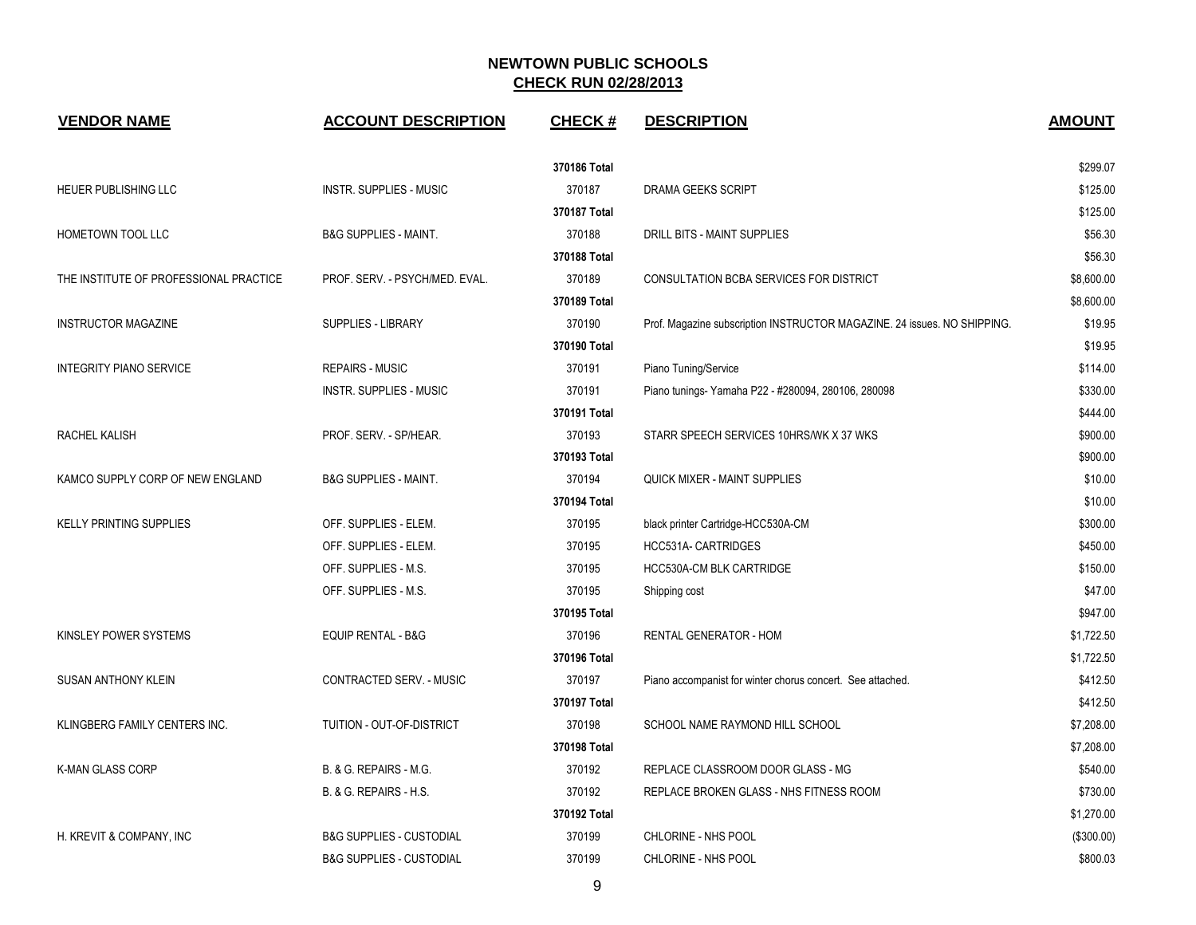| <b>VENDOR NAME</b>                     | <b>ACCOUNT DESCRIPTION</b>          | <b>CHECK#</b> | <b>DESCRIPTION</b>                                                       | <b>AMOUNT</b> |
|----------------------------------------|-------------------------------------|---------------|--------------------------------------------------------------------------|---------------|
|                                        |                                     | 370186 Total  |                                                                          | \$299.07      |
| <b>HEUER PUBLISHING LLC</b>            | INSTR. SUPPLIES - MUSIC             | 370187        | DRAMA GEEKS SCRIPT                                                       | \$125.00      |
|                                        |                                     | 370187 Total  |                                                                          | \$125.00      |
| HOMETOWN TOOL LLC                      | <b>B&amp;G SUPPLIES - MAINT.</b>    | 370188        | DRILL BITS - MAINT SUPPLIES                                              | \$56.30       |
|                                        |                                     | 370188 Total  |                                                                          | \$56.30       |
| THE INSTITUTE OF PROFESSIONAL PRACTICE | PROF. SERV. - PSYCH/MED. EVAL.      | 370189        | CONSULTATION BCBA SERVICES FOR DISTRICT                                  | \$8,600.00    |
|                                        |                                     | 370189 Total  |                                                                          | \$8,600.00    |
| <b>INSTRUCTOR MAGAZINE</b>             | <b>SUPPLIES - LIBRARY</b>           | 370190        | Prof. Magazine subscription INSTRUCTOR MAGAZINE. 24 issues. NO SHIPPING. | \$19.95       |
|                                        |                                     | 370190 Total  |                                                                          | \$19.95       |
| <b>INTEGRITY PIANO SERVICE</b>         | <b>REPAIRS - MUSIC</b>              | 370191        | Piano Tuning/Service                                                     | \$114.00      |
|                                        | INSTR. SUPPLIES - MUSIC             | 370191        | Piano tunings- Yamaha P22 - #280094, 280106, 280098                      | \$330.00      |
|                                        |                                     | 370191 Total  |                                                                          | \$444.00      |
| RACHEL KALISH                          | PROF. SERV. - SP/HEAR.              | 370193        | STARR SPEECH SERVICES 10HRS/WK X 37 WKS                                  | \$900.00      |
|                                        |                                     | 370193 Total  |                                                                          | \$900.00      |
| KAMCO SUPPLY CORP OF NEW ENGLAND       | <b>B&amp;G SUPPLIES - MAINT.</b>    | 370194        | <b>QUICK MIXER - MAINT SUPPLIES</b>                                      | \$10.00       |
|                                        |                                     | 370194 Total  |                                                                          | \$10.00       |
| <b>KELLY PRINTING SUPPLIES</b>         | OFF. SUPPLIES - ELEM.               | 370195        | black printer Cartridge-HCC530A-CM                                       | \$300.00      |
|                                        | OFF. SUPPLIES - ELEM.               | 370195        | HCC531A-CARTRIDGES                                                       | \$450.00      |
|                                        | OFF. SUPPLIES - M.S.                | 370195        | HCC530A-CM BLK CARTRIDGE                                                 | \$150.00      |
|                                        | OFF. SUPPLIES - M.S.                | 370195        | Shipping cost                                                            | \$47.00       |
|                                        |                                     | 370195 Total  |                                                                          | \$947.00      |
| KINSLEY POWER SYSTEMS                  | <b>EQUIP RENTAL - B&amp;G</b>       | 370196        | <b>RENTAL GENERATOR - HOM</b>                                            | \$1,722.50    |
|                                        |                                     | 370196 Total  |                                                                          | \$1,722.50    |
| <b>SUSAN ANTHONY KLEIN</b>             | CONTRACTED SERV. - MUSIC            | 370197        | Piano accompanist for winter chorus concert. See attached.               | \$412.50      |
|                                        |                                     | 370197 Total  |                                                                          | \$412.50      |
| KLINGBERG FAMILY CENTERS INC.          | TUITION - OUT-OF-DISTRICT           | 370198        | SCHOOL NAME RAYMOND HILL SCHOOL                                          | \$7,208.00    |
|                                        |                                     | 370198 Total  |                                                                          | \$7,208.00    |
| <b>K-MAN GLASS CORP</b>                | B. & G. REPAIRS - M.G.              | 370192        | REPLACE CLASSROOM DOOR GLASS - MG                                        | \$540.00      |
|                                        | B. & G. REPAIRS - H.S.              | 370192        | REPLACE BROKEN GLASS - NHS FITNESS ROOM                                  | \$730.00      |
|                                        |                                     | 370192 Total  |                                                                          | \$1,270.00    |
| H. KREVIT & COMPANY, INC               | <b>B&amp;G SUPPLIES - CUSTODIAL</b> | 370199        | CHLORINE - NHS POOL                                                      | (\$300.00)    |
|                                        | <b>B&amp;G SUPPLIES - CUSTODIAL</b> | 370199        | CHLORINE - NHS POOL                                                      | \$800.03      |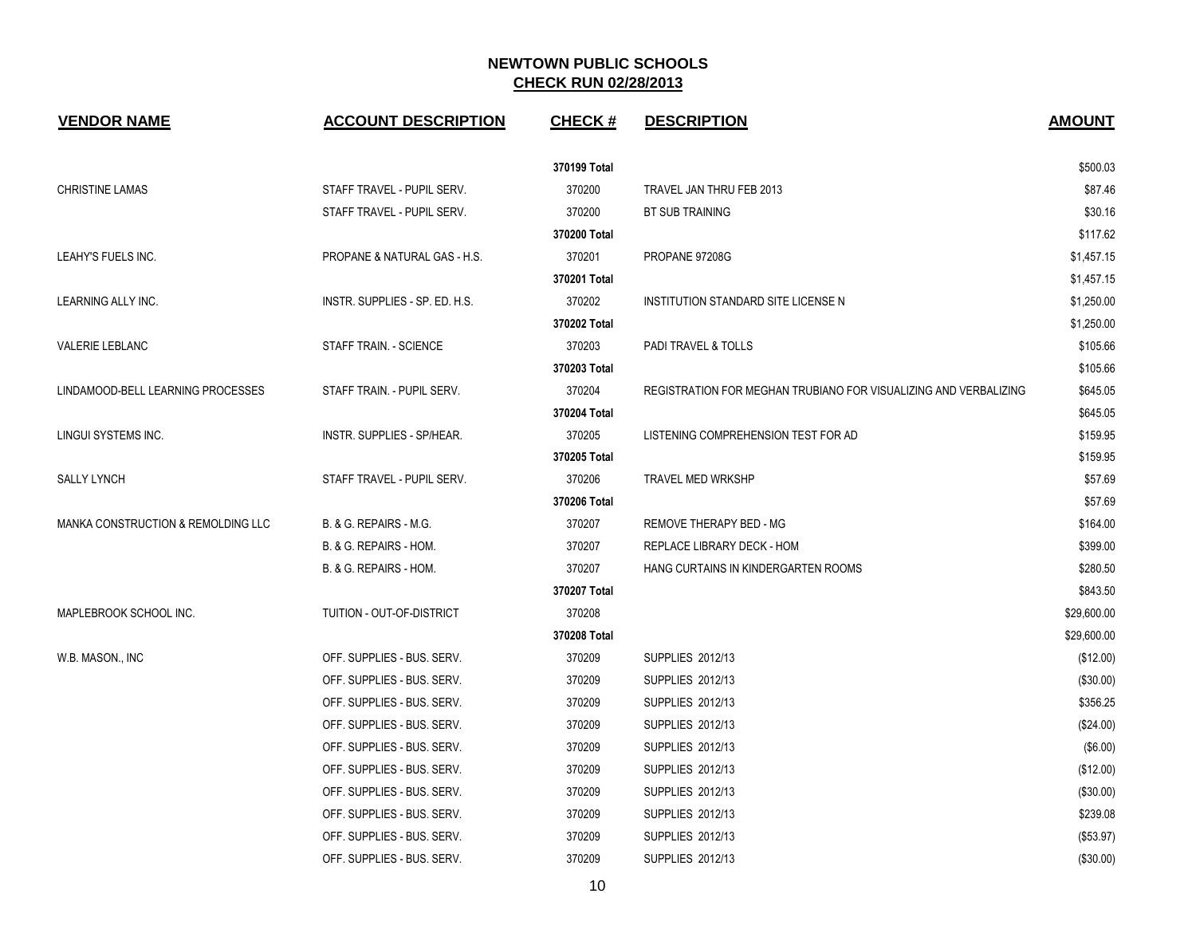| <b>VENDOR NAME</b>                            | <b>ACCOUNT DESCRIPTION</b>     | <b>CHECK#</b> | <b>DESCRIPTION</b>                                               | <b>AMOUNT</b> |
|-----------------------------------------------|--------------------------------|---------------|------------------------------------------------------------------|---------------|
|                                               |                                | 370199 Total  |                                                                  | \$500.03      |
| <b>CHRISTINE LAMAS</b>                        | STAFF TRAVEL - PUPIL SERV.     | 370200        | TRAVEL JAN THRU FEB 2013                                         | \$87.46       |
|                                               | STAFF TRAVEL - PUPIL SERV.     | 370200        | BT SUB TRAINING                                                  | \$30.16       |
|                                               |                                | 370200 Total  |                                                                  | \$117.62      |
| LEAHY'S FUELS INC.                            | PROPANE & NATURAL GAS - H.S.   | 370201        | PROPANE 97208G                                                   | \$1,457.15    |
|                                               |                                | 370201 Total  |                                                                  | \$1,457.15    |
| LEARNING ALLY INC.                            | INSTR. SUPPLIES - SP. ED. H.S. | 370202        | INSTITUTION STANDARD SITE LICENSE N                              | \$1,250.00    |
|                                               |                                | 370202 Total  |                                                                  | \$1,250.00    |
| <b>VALERIE LEBLANC</b>                        | STAFF TRAIN. - SCIENCE         | 370203        | PADI TRAVEL & TOLLS                                              | \$105.66      |
|                                               |                                | 370203 Total  |                                                                  | \$105.66      |
| LINDAMOOD-BELL LEARNING PROCESSES             | STAFF TRAIN. - PUPIL SERV.     | 370204        | REGISTRATION FOR MEGHAN TRUBIANO FOR VISUALIZING AND VERBALIZING | \$645.05      |
|                                               |                                | 370204 Total  |                                                                  | \$645.05      |
| LINGUI SYSTEMS INC.                           | INSTR. SUPPLIES - SP/HEAR.     | 370205        | LISTENING COMPREHENSION TEST FOR AD                              | \$159.95      |
|                                               |                                | 370205 Total  |                                                                  | \$159.95      |
| <b>SALLY LYNCH</b>                            | STAFF TRAVEL - PUPIL SERV.     | 370206        | TRAVEL MED WRKSHP                                                | \$57.69       |
|                                               |                                | 370206 Total  |                                                                  | \$57.69       |
| <b>MANKA CONSTRUCTION &amp; REMOLDING LLC</b> | B. & G. REPAIRS - M.G.         | 370207        | REMOVE THERAPY BED - MG                                          | \$164.00      |
|                                               | B. & G. REPAIRS - HOM.         | 370207        | REPLACE LIBRARY DECK - HOM                                       | \$399.00      |
|                                               | B. & G. REPAIRS - HOM.         | 370207        | HANG CURTAINS IN KINDERGARTEN ROOMS                              | \$280.50      |
|                                               |                                | 370207 Total  |                                                                  | \$843.50      |
| MAPLEBROOK SCHOOL INC.                        | TUITION - OUT-OF-DISTRICT      | 370208        |                                                                  | \$29,600.00   |
|                                               |                                | 370208 Total  |                                                                  | \$29,600.00   |
| W.B. MASON., INC                              | OFF. SUPPLIES - BUS. SERV.     | 370209        | SUPPLIES 2012/13                                                 | (\$12.00)     |
|                                               | OFF. SUPPLIES - BUS. SERV.     | 370209        | SUPPLIES 2012/13                                                 | $(\$30.00)$   |
|                                               | OFF. SUPPLIES - BUS. SERV.     | 370209        | SUPPLIES 2012/13                                                 | \$356.25      |
|                                               | OFF. SUPPLIES - BUS. SERV.     | 370209        | SUPPLIES 2012/13                                                 | (\$24.00)     |
|                                               | OFF. SUPPLIES - BUS. SERV.     | 370209        | SUPPLIES 2012/13                                                 | (\$6.00)      |
|                                               | OFF. SUPPLIES - BUS. SERV.     | 370209        | SUPPLIES 2012/13                                                 | (\$12.00)     |
|                                               | OFF. SUPPLIES - BUS. SERV.     | 370209        | SUPPLIES 2012/13                                                 | $(\$30.00)$   |
|                                               | OFF. SUPPLIES - BUS. SERV.     | 370209        | SUPPLIES 2012/13                                                 | \$239.08      |
|                                               | OFF. SUPPLIES - BUS. SERV.     | 370209        | SUPPLIES 2012/13                                                 | (\$53.97)     |
|                                               | OFF. SUPPLIES - BUS. SERV.     | 370209        | SUPPLIES 2012/13                                                 | (\$30.00)     |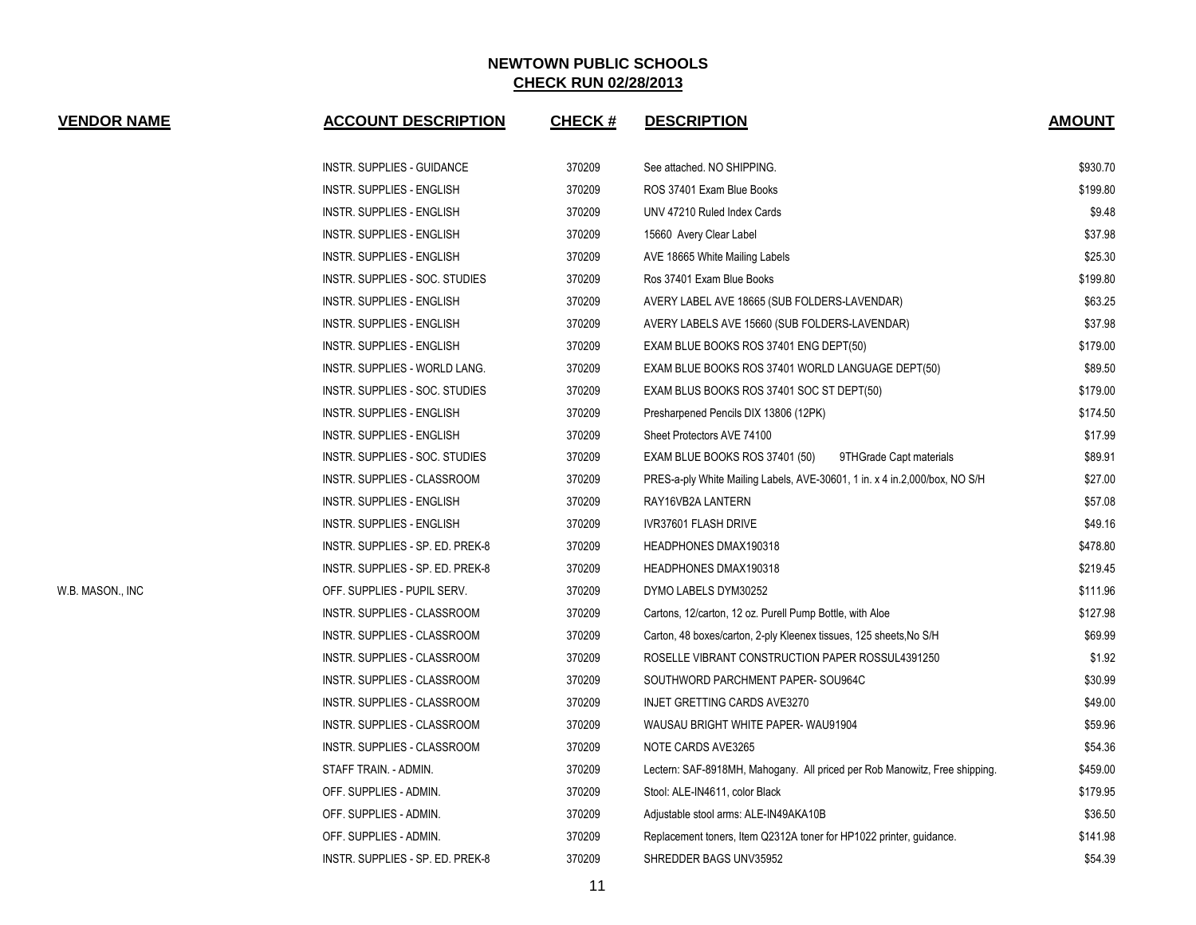| <b>VENDOR NAME</b> | <b>ACCOUNT DESCRIPTION</b>       | <b>CHECK#</b> | <b>DESCRIPTION</b>                                                         | <b>AMOUNT</b> |
|--------------------|----------------------------------|---------------|----------------------------------------------------------------------------|---------------|
|                    | INSTR. SUPPLIES - GUIDANCE       | 370209        | See attached. NO SHIPPING.                                                 | \$930.70      |
|                    | INSTR. SUPPLIES - ENGLISH        | 370209        | ROS 37401 Exam Blue Books                                                  | \$199.80      |
|                    | INSTR. SUPPLIES - ENGLISH        | 370209        | UNV 47210 Ruled Index Cards                                                | \$9.48        |
|                    | INSTR. SUPPLIES - ENGLISH        | 370209        | 15660 Avery Clear Label                                                    | \$37.98       |
|                    | INSTR. SUPPLIES - ENGLISH        | 370209        | AVE 18665 White Mailing Labels                                             | \$25.30       |
|                    | INSTR. SUPPLIES - SOC. STUDIES   | 370209        | Ros 37401 Exam Blue Books                                                  | \$199.80      |
|                    | INSTR. SUPPLIES - ENGLISH        | 370209        | AVERY LABEL AVE 18665 (SUB FOLDERS-LAVENDAR)                               | \$63.25       |
|                    | INSTR. SUPPLIES - ENGLISH        | 370209        | AVERY LABELS AVE 15660 (SUB FOLDERS-LAVENDAR)                              | \$37.98       |
|                    | INSTR. SUPPLIES - ENGLISH        | 370209        | EXAM BLUE BOOKS ROS 37401 ENG DEPT(50)                                     | \$179.00      |
|                    | INSTR. SUPPLIES - WORLD LANG.    | 370209        | EXAM BLUE BOOKS ROS 37401 WORLD LANGUAGE DEPT(50)                          | \$89.50       |
|                    | INSTR. SUPPLIES - SOC. STUDIES   | 370209        | EXAM BLUS BOOKS ROS 37401 SOC ST DEPT(50)                                  | \$179.00      |
|                    | INSTR. SUPPLIES - ENGLISH        | 370209        | Presharpened Pencils DIX 13806 (12PK)                                      | \$174.50      |
|                    | INSTR. SUPPLIES - ENGLISH        | 370209        | Sheet Protectors AVE 74100                                                 | \$17.99       |
|                    | INSTR. SUPPLIES - SOC. STUDIES   | 370209        | 9THGrade Capt materials<br>EXAM BLUE BOOKS ROS 37401 (50)                  | \$89.91       |
|                    | INSTR. SUPPLIES - CLASSROOM      | 370209        | PRES-a-ply White Mailing Labels, AVE-30601, 1 in. x 4 in.2,000/box, NO S/H | \$27.00       |
|                    | INSTR. SUPPLIES - ENGLISH        | 370209        | RAY16VB2A LANTERN                                                          | \$57.08       |
|                    | INSTR. SUPPLIES - ENGLISH        | 370209        | IVR37601 FLASH DRIVE                                                       | \$49.16       |
|                    | INSTR. SUPPLIES - SP. ED. PREK-8 | 370209        | HEADPHONES DMAX190318                                                      | \$478.80      |
|                    | INSTR. SUPPLIES - SP. ED. PREK-8 | 370209        | HEADPHONES DMAX190318                                                      | \$219.45      |
| W.B. MASON., INC   | OFF. SUPPLIES - PUPIL SERV.      | 370209        | DYMO LABELS DYM30252                                                       | \$111.96      |
|                    | INSTR. SUPPLIES - CLASSROOM      | 370209        | Cartons, 12/carton, 12 oz. Purell Pump Bottle, with Aloe                   | \$127.98      |
|                    | INSTR. SUPPLIES - CLASSROOM      | 370209        | Carton, 48 boxes/carton, 2-ply Kleenex tissues, 125 sheets, No S/H         | \$69.99       |
|                    | INSTR. SUPPLIES - CLASSROOM      | 370209        | ROSELLE VIBRANT CONSTRUCTION PAPER ROSSUL4391250                           | \$1.92        |
|                    | INSTR. SUPPLIES - CLASSROOM      | 370209        | SOUTHWORD PARCHMENT PAPER-SOU964C                                          | \$30.99       |
|                    | INSTR. SUPPLIES - CLASSROOM      | 370209        | INJET GRETTING CARDS AVE3270                                               | \$49.00       |
|                    | INSTR. SUPPLIES - CLASSROOM      | 370209        | WAUSAU BRIGHT WHITE PAPER-WAU91904                                         | \$59.96       |
|                    | INSTR. SUPPLIES - CLASSROOM      | 370209        | NOTE CARDS AVE3265                                                         | \$54.36       |
|                    | STAFF TRAIN. - ADMIN.            | 370209        | Lectern: SAF-8918MH, Mahogany. All priced per Rob Manowitz, Free shipping. | \$459.00      |
|                    | OFF. SUPPLIES - ADMIN.           | 370209        | Stool: ALE-IN4611, color Black                                             | \$179.95      |
|                    | OFF. SUPPLIES - ADMIN.           | 370209        | Adjustable stool arms: ALE-IN49AKA10B                                      | \$36.50       |
|                    | OFF. SUPPLIES - ADMIN.           | 370209        | Replacement toners, Item Q2312A toner for HP1022 printer, guidance.        | \$141.98      |
|                    | INSTR. SUPPLIES - SP. ED. PREK-8 | 370209        | SHREDDER BAGS UNV35952                                                     | \$54.39       |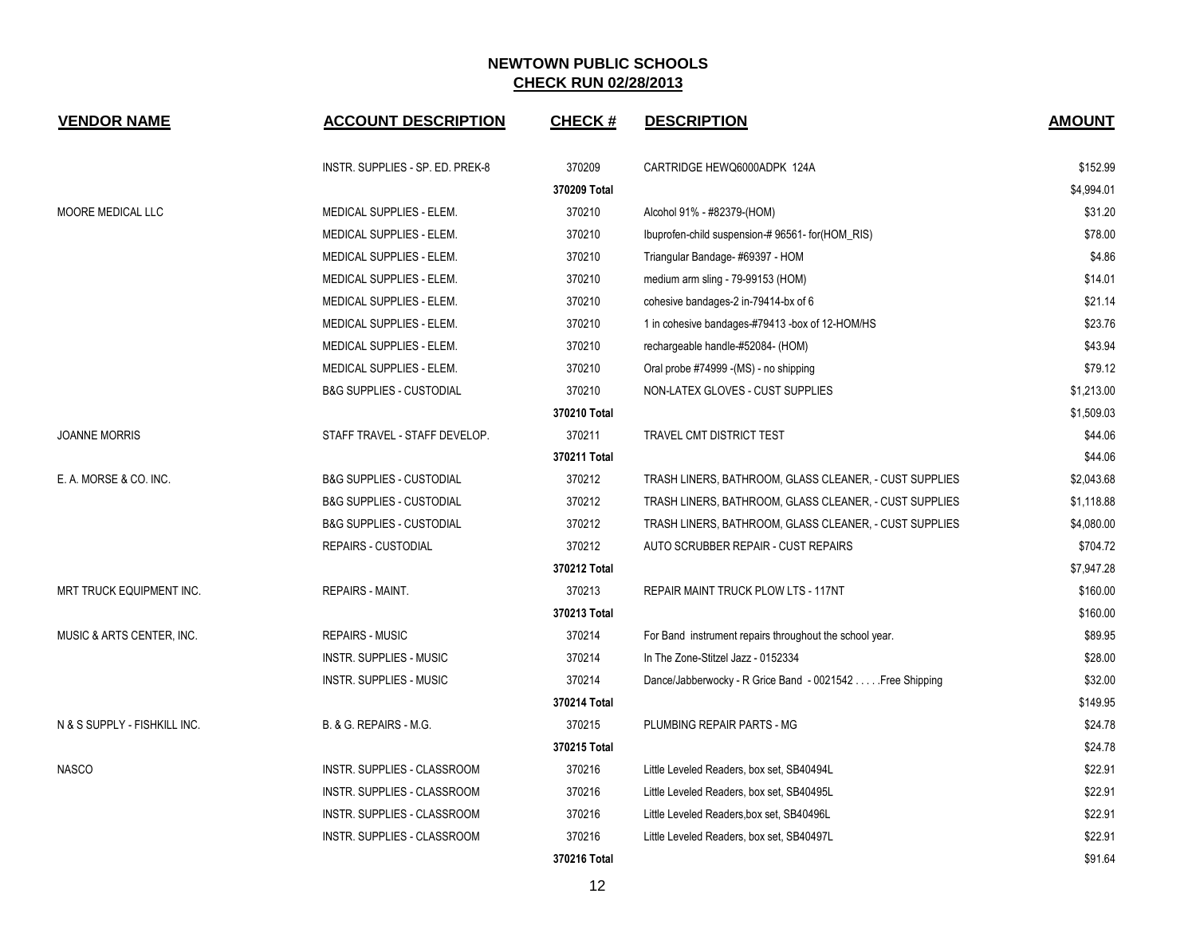| <b>VENDOR NAME</b>           | <b>ACCOUNT DESCRIPTION</b>          | <b>CHECK#</b> | <b>DESCRIPTION</b>                                       | <b>AMOUNT</b> |
|------------------------------|-------------------------------------|---------------|----------------------------------------------------------|---------------|
|                              | INSTR. SUPPLIES - SP. ED. PREK-8    | 370209        | CARTRIDGE HEWQ6000ADPK 124A                              | \$152.99      |
|                              |                                     | 370209 Total  |                                                          | \$4,994.01    |
| MOORE MEDICAL LLC            | MEDICAL SUPPLIES - ELEM.            | 370210        | Alcohol 91% - #82379-(HOM)                               | \$31.20       |
|                              | MEDICAL SUPPLIES - ELEM.            | 370210        | Ibuprofen-child suspension-#96561-for(HOM_RIS)           | \$78.00       |
|                              | MEDICAL SUPPLIES - ELEM.            | 370210        | Triangular Bandage- #69397 - HOM                         | \$4.86        |
|                              | MEDICAL SUPPLIES - ELEM.            | 370210        | medium arm sling - 79-99153 (HOM)                        | \$14.01       |
|                              | MEDICAL SUPPLIES - ELEM.            | 370210        | cohesive bandages-2 in-79414-bx of 6                     | \$21.14       |
|                              | MEDICAL SUPPLIES - ELEM.            | 370210        | 1 in cohesive bandages-#79413 -box of 12-HOM/HS          | \$23.76       |
|                              | MEDICAL SUPPLIES - ELEM.            | 370210        | rechargeable handle-#52084- (HOM)                        | \$43.94       |
|                              | MEDICAL SUPPLIES - ELEM.            | 370210        | Oral probe #74999 - (MS) - no shipping                   | \$79.12       |
|                              | <b>B&amp;G SUPPLIES - CUSTODIAL</b> | 370210        | NON-LATEX GLOVES - CUST SUPPLIES                         | \$1,213.00    |
|                              |                                     | 370210 Total  |                                                          | \$1,509.03    |
| <b>JOANNE MORRIS</b>         | STAFF TRAVEL - STAFF DEVELOP.       | 370211        | TRAVEL CMT DISTRICT TEST                                 | \$44.06       |
|                              |                                     | 370211 Total  |                                                          | \$44.06       |
| E. A. MORSE & CO. INC.       | <b>B&amp;G SUPPLIES - CUSTODIAL</b> | 370212        | TRASH LINERS, BATHROOM, GLASS CLEANER, - CUST SUPPLIES   | \$2,043.68    |
|                              | <b>B&amp;G SUPPLIES - CUSTODIAL</b> | 370212        | TRASH LINERS, BATHROOM, GLASS CLEANER, - CUST SUPPLIES   | \$1,118.88    |
|                              | <b>B&amp;G SUPPLIES - CUSTODIAL</b> | 370212        | TRASH LINERS, BATHROOM, GLASS CLEANER, - CUST SUPPLIES   | \$4,080.00    |
|                              | <b>REPAIRS - CUSTODIAL</b>          | 370212        | AUTO SCRUBBER REPAIR - CUST REPAIRS                      | \$704.72      |
|                              |                                     | 370212 Total  |                                                          | \$7,947.28    |
| MRT TRUCK EQUIPMENT INC.     | <b>REPAIRS - MAINT.</b>             | 370213        | <b>REPAIR MAINT TRUCK PLOW LTS - 117NT</b>               | \$160.00      |
|                              |                                     | 370213 Total  |                                                          | \$160.00      |
| MUSIC & ARTS CENTER, INC.    | <b>REPAIRS - MUSIC</b>              | 370214        | For Band instrument repairs throughout the school year.  | \$89.95       |
|                              | <b>INSTR. SUPPLIES - MUSIC</b>      | 370214        | In The Zone-Stitzel Jazz - 0152334                       | \$28.00       |
|                              | INSTR. SUPPLIES - MUSIC             | 370214        | Dance/Jabberwocky - R Grice Band - 0021542 Free Shipping | \$32.00       |
|                              |                                     | 370214 Total  |                                                          | \$149.95      |
| N & S SUPPLY - FISHKILL INC. | B. & G. REPAIRS - M.G.              | 370215        | PLUMBING REPAIR PARTS - MG                               | \$24.78       |
|                              |                                     | 370215 Total  |                                                          | \$24.78       |
| <b>NASCO</b>                 | INSTR. SUPPLIES - CLASSROOM         | 370216        | Little Leveled Readers, box set, SB40494L                | \$22.91       |
|                              | INSTR. SUPPLIES - CLASSROOM         | 370216        | Little Leveled Readers, box set, SB40495L                | \$22.91       |
|                              | INSTR. SUPPLIES - CLASSROOM         | 370216        | Little Leveled Readers, box set, SB40496L                | \$22.91       |
|                              | INSTR. SUPPLIES - CLASSROOM         | 370216        | Little Leveled Readers, box set, SB40497L                | \$22.91       |
|                              |                                     | 370216 Total  |                                                          | \$91.64       |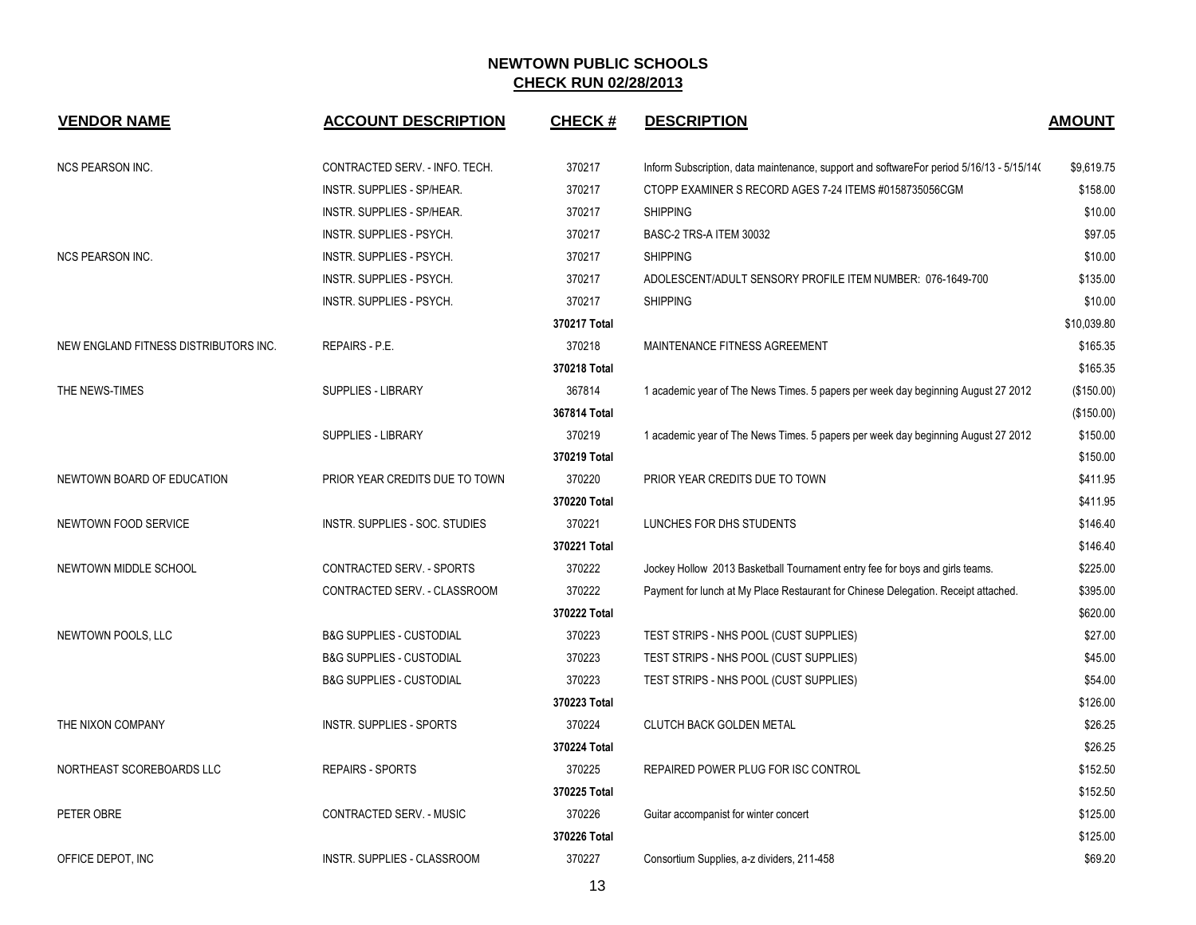| <b>VENDOR NAME</b>                    | <b>ACCOUNT DESCRIPTION</b>          | <b>CHECK#</b> | <b>DESCRIPTION</b>                                                                       | <b>AMOUNT</b> |
|---------------------------------------|-------------------------------------|---------------|------------------------------------------------------------------------------------------|---------------|
| <b>NCS PEARSON INC.</b>               | CONTRACTED SERV. - INFO. TECH.      | 370217        | Inform Subscription, data maintenance, support and softwareFor period 5/16/13 - 5/15/14( | \$9,619.75    |
|                                       | INSTR. SUPPLIES - SP/HEAR.          | 370217        | CTOPP EXAMINER S RECORD AGES 7-24 ITEMS #0158735056CGM                                   | \$158.00      |
|                                       | INSTR. SUPPLIES - SP/HEAR.          | 370217        | <b>SHIPPING</b>                                                                          | \$10.00       |
|                                       | INSTR. SUPPLIES - PSYCH.            | 370217        | BASC-2 TRS-A ITEM 30032                                                                  | \$97.05       |
| <b>NCS PEARSON INC.</b>               | INSTR. SUPPLIES - PSYCH.            | 370217        | <b>SHIPPING</b>                                                                          | \$10.00       |
|                                       | INSTR. SUPPLIES - PSYCH.            | 370217        | ADOLESCENT/ADULT SENSORY PROFILE ITEM NUMBER: 076-1649-700                               | \$135.00      |
|                                       | INSTR. SUPPLIES - PSYCH.            | 370217        | <b>SHIPPING</b>                                                                          | \$10.00       |
|                                       |                                     | 370217 Total  |                                                                                          | \$10,039.80   |
| NEW ENGLAND FITNESS DISTRIBUTORS INC. | REPAIRS - P.E.                      | 370218        | MAINTENANCE FITNESS AGREEMENT                                                            | \$165.35      |
|                                       |                                     | 370218 Total  |                                                                                          | \$165.35      |
| THE NEWS-TIMES                        | <b>SUPPLIES - LIBRARY</b>           | 367814        | 1 academic year of The News Times. 5 papers per week day beginning August 27 2012        | (\$150.00)    |
|                                       |                                     | 367814 Total  |                                                                                          | (\$150.00)    |
|                                       | <b>SUPPLIES - LIBRARY</b>           | 370219        | 1 academic year of The News Times. 5 papers per week day beginning August 27 2012        | \$150.00      |
|                                       |                                     | 370219 Total  |                                                                                          | \$150.00      |
| NEWTOWN BOARD OF EDUCATION            | PRIOR YEAR CREDITS DUE TO TOWN      | 370220        | PRIOR YEAR CREDITS DUE TO TOWN                                                           | \$411.95      |
|                                       |                                     | 370220 Total  |                                                                                          | \$411.95      |
| NEWTOWN FOOD SERVICE                  | INSTR. SUPPLIES - SOC. STUDIES      | 370221        | LUNCHES FOR DHS STUDENTS                                                                 | \$146.40      |
|                                       |                                     | 370221 Total  |                                                                                          | \$146.40      |
| NEWTOWN MIDDLE SCHOOL                 | CONTRACTED SERV. - SPORTS           | 370222        | Jockey Hollow 2013 Basketball Tournament entry fee for boys and girls teams.             | \$225.00      |
|                                       | CONTRACTED SERV. - CLASSROOM        | 370222        | Payment for lunch at My Place Restaurant for Chinese Delegation. Receipt attached.       | \$395.00      |
|                                       |                                     | 370222 Total  |                                                                                          | \$620.00      |
| NEWTOWN POOLS, LLC                    | <b>B&amp;G SUPPLIES - CUSTODIAL</b> | 370223        | TEST STRIPS - NHS POOL (CUST SUPPLIES)                                                   | \$27.00       |
|                                       | <b>B&amp;G SUPPLIES - CUSTODIAL</b> | 370223        | TEST STRIPS - NHS POOL (CUST SUPPLIES)                                                   | \$45.00       |
|                                       | <b>B&amp;G SUPPLIES - CUSTODIAL</b> | 370223        | TEST STRIPS - NHS POOL (CUST SUPPLIES)                                                   | \$54.00       |
|                                       |                                     | 370223 Total  |                                                                                          | \$126.00      |
| THE NIXON COMPANY                     | INSTR. SUPPLIES - SPORTS            | 370224        | CLUTCH BACK GOLDEN METAL                                                                 | \$26.25       |
|                                       |                                     | 370224 Total  |                                                                                          | \$26.25       |
| NORTHEAST SCOREBOARDS LLC             | <b>REPAIRS - SPORTS</b>             | 370225        | REPAIRED POWER PLUG FOR ISC CONTROL                                                      | \$152.50      |
|                                       |                                     | 370225 Total  |                                                                                          | \$152.50      |
| PETER OBRE                            | CONTRACTED SERV. - MUSIC            | 370226        | Guitar accompanist for winter concert                                                    | \$125.00      |
|                                       |                                     | 370226 Total  |                                                                                          | \$125.00      |
| OFFICE DEPOT. INC                     | INSTR. SUPPLIES - CLASSROOM         | 370227        | Consortium Supplies, a-z dividers, 211-458                                               | \$69.20       |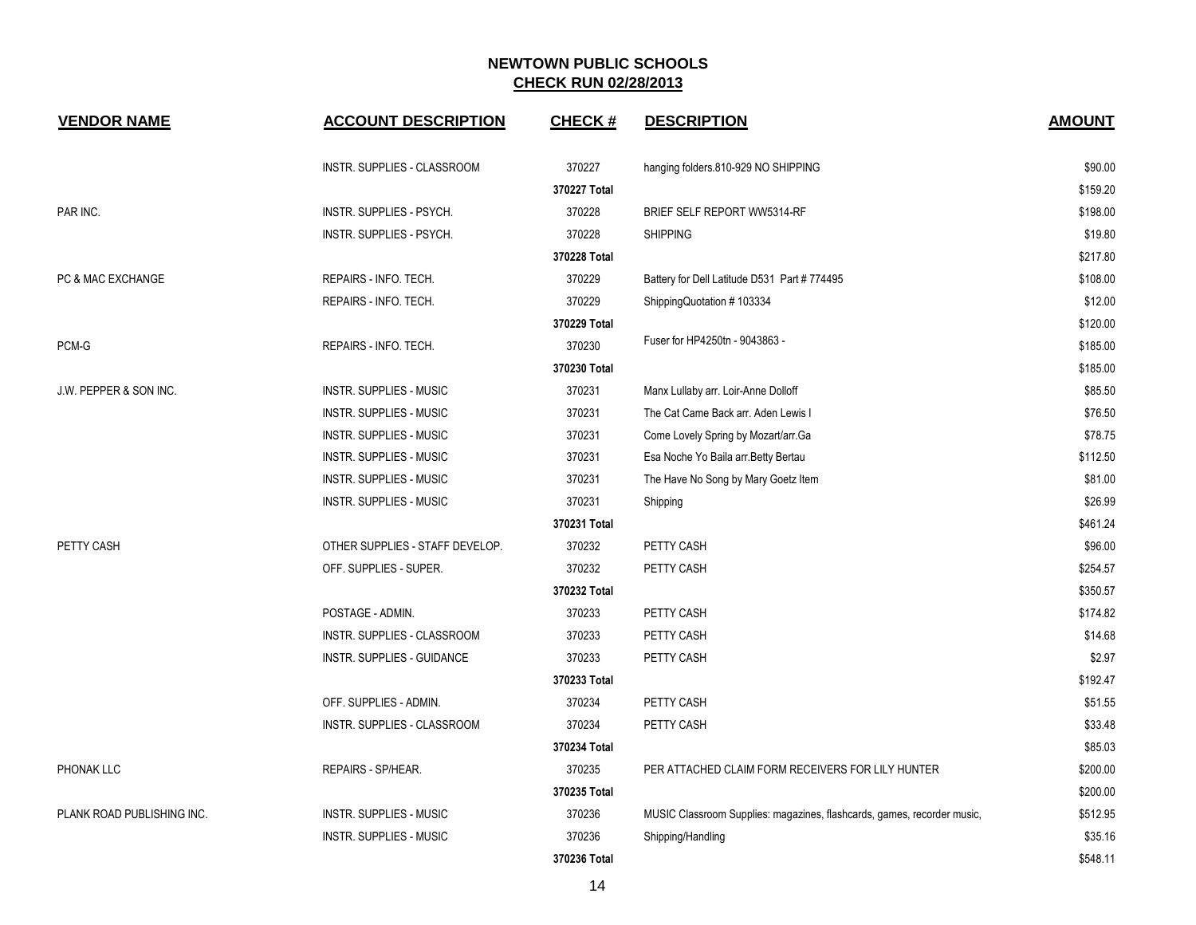| <b>VENDOR NAME</b>                | <b>ACCOUNT DESCRIPTION</b>      | CHECK #      | <b>DESCRIPTION</b>                                                      | <b>AMOUNT</b> |
|-----------------------------------|---------------------------------|--------------|-------------------------------------------------------------------------|---------------|
|                                   | INSTR. SUPPLIES - CLASSROOM     | 370227       | hanging folders.810-929 NO SHIPPING                                     | \$90.00       |
|                                   |                                 | 370227 Total |                                                                         | \$159.20      |
| PAR INC.                          | INSTR. SUPPLIES - PSYCH.        | 370228       | BRIEF SELF REPORT WW5314-RF                                             | \$198.00      |
|                                   | INSTR. SUPPLIES - PSYCH.        | 370228       | <b>SHIPPING</b>                                                         | \$19.80       |
|                                   |                                 | 370228 Total |                                                                         | \$217.80      |
| PC & MAC EXCHANGE                 | REPAIRS - INFO. TECH.           | 370229       | Battery for Dell Latitude D531 Part # 774495                            | \$108.00      |
|                                   | REPAIRS - INFO. TECH.           | 370229       | ShippingQuotation #103334                                               | \$12.00       |
|                                   |                                 | 370229 Total |                                                                         | \$120.00      |
| PCM-G                             | REPAIRS - INFO. TECH.           | 370230       | Fuser for HP4250tn - 9043863 -                                          | \$185.00      |
|                                   |                                 | 370230 Total |                                                                         | \$185.00      |
| <b>J.W. PEPPER &amp; SON INC.</b> | <b>INSTR. SUPPLIES - MUSIC</b>  | 370231       | Manx Lullaby arr. Loir-Anne Dolloff                                     | \$85.50       |
|                                   | <b>INSTR. SUPPLIES - MUSIC</b>  | 370231       | The Cat Came Back arr. Aden Lewis I                                     | \$76.50       |
|                                   | <b>INSTR. SUPPLIES - MUSIC</b>  | 370231       | Come Lovely Spring by Mozart/arr.Ga                                     | \$78.75       |
|                                   | <b>INSTR. SUPPLIES - MUSIC</b>  | 370231       | Esa Noche Yo Baila arr. Betty Bertau                                    | \$112.50      |
|                                   | <b>INSTR. SUPPLIES - MUSIC</b>  | 370231       | The Have No Song by Mary Goetz Item                                     | \$81.00       |
|                                   | <b>INSTR. SUPPLIES - MUSIC</b>  | 370231       | Shipping                                                                | \$26.99       |
|                                   |                                 | 370231 Total |                                                                         | \$461.24      |
| PETTY CASH                        | OTHER SUPPLIES - STAFF DEVELOP. | 370232       | PETTY CASH                                                              | \$96.00       |
|                                   | OFF. SUPPLIES - SUPER.          | 370232       | PETTY CASH                                                              | \$254.57      |
|                                   |                                 | 370232 Total |                                                                         | \$350.57      |
|                                   | POSTAGE - ADMIN.                | 370233       | PETTY CASH                                                              | \$174.82      |
|                                   | INSTR. SUPPLIES - CLASSROOM     | 370233       | PETTY CASH                                                              | \$14.68       |
|                                   | INSTR. SUPPLIES - GUIDANCE      | 370233       | PETTY CASH                                                              | \$2.97        |
|                                   |                                 | 370233 Total |                                                                         | \$192.47      |
|                                   | OFF. SUPPLIES - ADMIN.          | 370234       | PETTY CASH                                                              | \$51.55       |
|                                   | INSTR. SUPPLIES - CLASSROOM     | 370234       | PETTY CASH                                                              | \$33.48       |
|                                   |                                 | 370234 Total |                                                                         | \$85.03       |
| PHONAK LLC                        | REPAIRS - SP/HEAR.              | 370235       | PER ATTACHED CLAIM FORM RECEIVERS FOR LILY HUNTER                       | \$200.00      |
|                                   |                                 | 370235 Total |                                                                         | \$200.00      |
| PLANK ROAD PUBLISHING INC.        | <b>INSTR. SUPPLIES - MUSIC</b>  | 370236       | MUSIC Classroom Supplies: magazines, flashcards, games, recorder music, | \$512.95      |
|                                   | <b>INSTR. SUPPLIES - MUSIC</b>  | 370236       | Shipping/Handling                                                       | \$35.16       |
|                                   |                                 | 370236 Total |                                                                         | \$548.11      |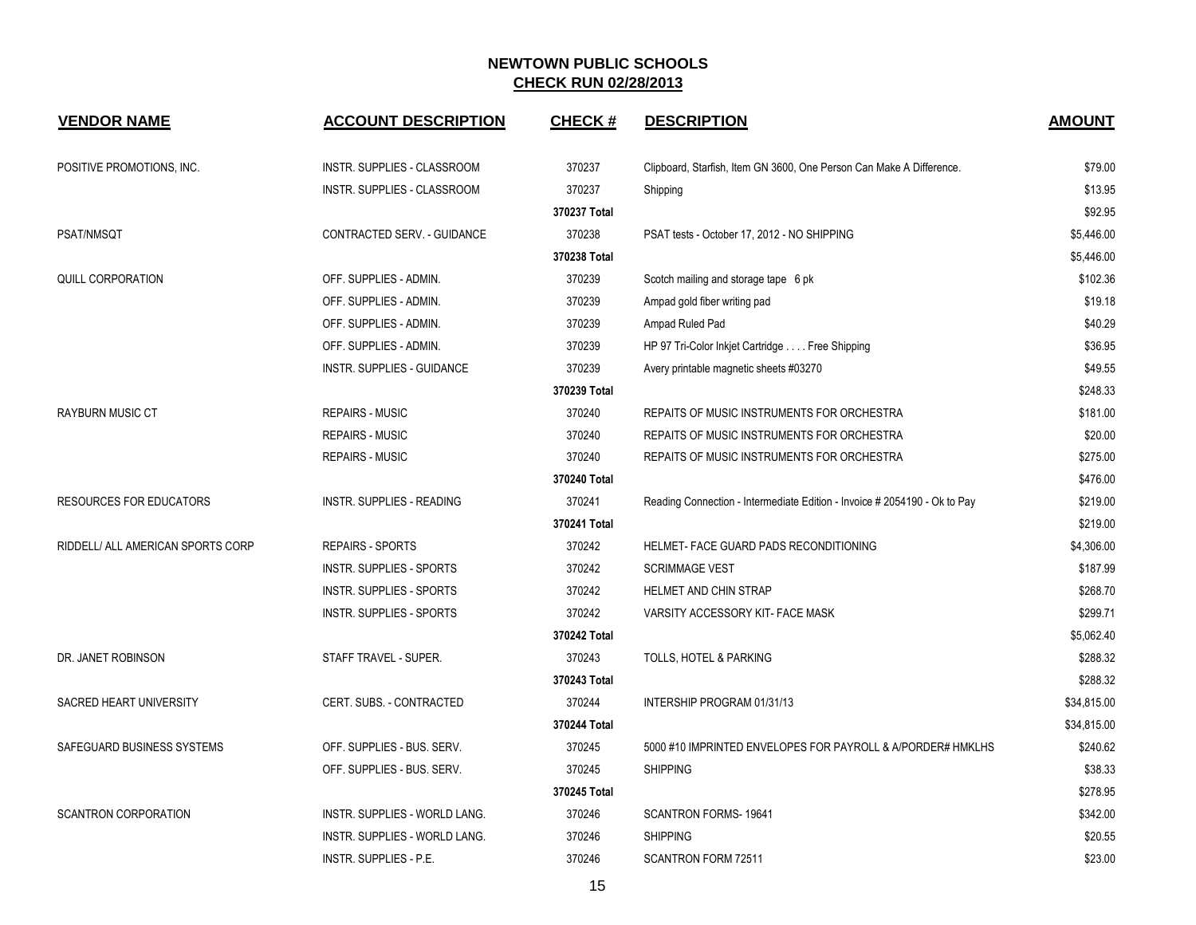| <b>VENDOR NAME</b>                | <b>ACCOUNT DESCRIPTION</b>         | <b>CHECK#</b> | <b>DESCRIPTION</b>                                                        | <b>AMOUNT</b> |
|-----------------------------------|------------------------------------|---------------|---------------------------------------------------------------------------|---------------|
| POSITIVE PROMOTIONS, INC.         | INSTR. SUPPLIES - CLASSROOM        | 370237        | Clipboard, Starfish, Item GN 3600, One Person Can Make A Difference.      | \$79.00       |
|                                   | <b>INSTR. SUPPLIES - CLASSROOM</b> | 370237        | Shipping                                                                  | \$13.95       |
|                                   |                                    | 370237 Total  |                                                                           | \$92.95       |
| PSAT/NMSQT                        | CONTRACTED SERV. - GUIDANCE        | 370238        | PSAT tests - October 17, 2012 - NO SHIPPING                               | \$5,446.00    |
|                                   |                                    | 370238 Total  |                                                                           | \$5,446.00    |
| QUILL CORPORATION                 | OFF. SUPPLIES - ADMIN.             | 370239        | Scotch mailing and storage tape 6 pk                                      | \$102.36      |
|                                   | OFF. SUPPLIES - ADMIN.             | 370239        | Ampad gold fiber writing pad                                              | \$19.18       |
|                                   | OFF. SUPPLIES - ADMIN.             | 370239        | Ampad Ruled Pad                                                           | \$40.29       |
|                                   | OFF. SUPPLIES - ADMIN.             | 370239        | HP 97 Tri-Color Inkjet Cartridge Free Shipping                            | \$36.95       |
|                                   | INSTR. SUPPLIES - GUIDANCE         | 370239        | Avery printable magnetic sheets #03270                                    | \$49.55       |
|                                   |                                    | 370239 Total  |                                                                           | \$248.33      |
| <b>RAYBURN MUSIC CT</b>           | REPAIRS - MUSIC                    | 370240        | REPAITS OF MUSIC INSTRUMENTS FOR ORCHESTRA                                | \$181.00      |
|                                   | <b>REPAIRS - MUSIC</b>             | 370240        | REPAITS OF MUSIC INSTRUMENTS FOR ORCHESTRA                                | \$20.00       |
|                                   | REPAIRS - MUSIC                    | 370240        | REPAITS OF MUSIC INSTRUMENTS FOR ORCHESTRA                                | \$275.00      |
|                                   |                                    | 370240 Total  |                                                                           | \$476.00      |
| <b>RESOURCES FOR EDUCATORS</b>    | INSTR. SUPPLIES - READING          | 370241        | Reading Connection - Intermediate Edition - Invoice # 2054190 - Ok to Pay | \$219.00      |
|                                   |                                    | 370241 Total  |                                                                           | \$219.00      |
| RIDDELL/ ALL AMERICAN SPORTS CORP | <b>REPAIRS - SPORTS</b>            | 370242        | HELMET- FACE GUARD PADS RECONDITIONING                                    | \$4,306.00    |
|                                   | INSTR. SUPPLIES - SPORTS           | 370242        | <b>SCRIMMAGE VEST</b>                                                     | \$187.99      |
|                                   | <b>INSTR. SUPPLIES - SPORTS</b>    | 370242        | HELMET AND CHIN STRAP                                                     | \$268.70      |
|                                   | INSTR. SUPPLIES - SPORTS           | 370242        | VARSITY ACCESSORY KIT- FACE MASK                                          | \$299.71      |
|                                   |                                    | 370242 Total  |                                                                           | \$5,062.40    |
| DR. JANET ROBINSON                | STAFF TRAVEL - SUPER.              | 370243        | TOLLS, HOTEL & PARKING                                                    | \$288.32      |
|                                   |                                    | 370243 Total  |                                                                           | \$288.32      |
| SACRED HEART UNIVERSITY           | CERT. SUBS. - CONTRACTED           | 370244        | INTERSHIP PROGRAM 01/31/13                                                | \$34,815.00   |
|                                   |                                    | 370244 Total  |                                                                           | \$34,815.00   |
| SAFEGUARD BUSINESS SYSTEMS        | OFF. SUPPLIES - BUS. SERV.         | 370245        | 5000 #10 IMPRINTED ENVELOPES FOR PAYROLL & A/PORDER# HMKLHS               | \$240.62      |
|                                   | OFF. SUPPLIES - BUS. SERV.         | 370245        | <b>SHIPPING</b>                                                           | \$38.33       |
|                                   |                                    | 370245 Total  |                                                                           | \$278.95      |
| <b>SCANTRON CORPORATION</b>       | INSTR. SUPPLIES - WORLD LANG.      | 370246        | <b>SCANTRON FORMS-19641</b>                                               | \$342.00      |
|                                   | INSTR. SUPPLIES - WORLD LANG.      | 370246        | <b>SHIPPING</b>                                                           | \$20.55       |
|                                   | INSTR. SUPPLIES - P.E.             | 370246        | <b>SCANTRON FORM 72511</b>                                                | \$23.00       |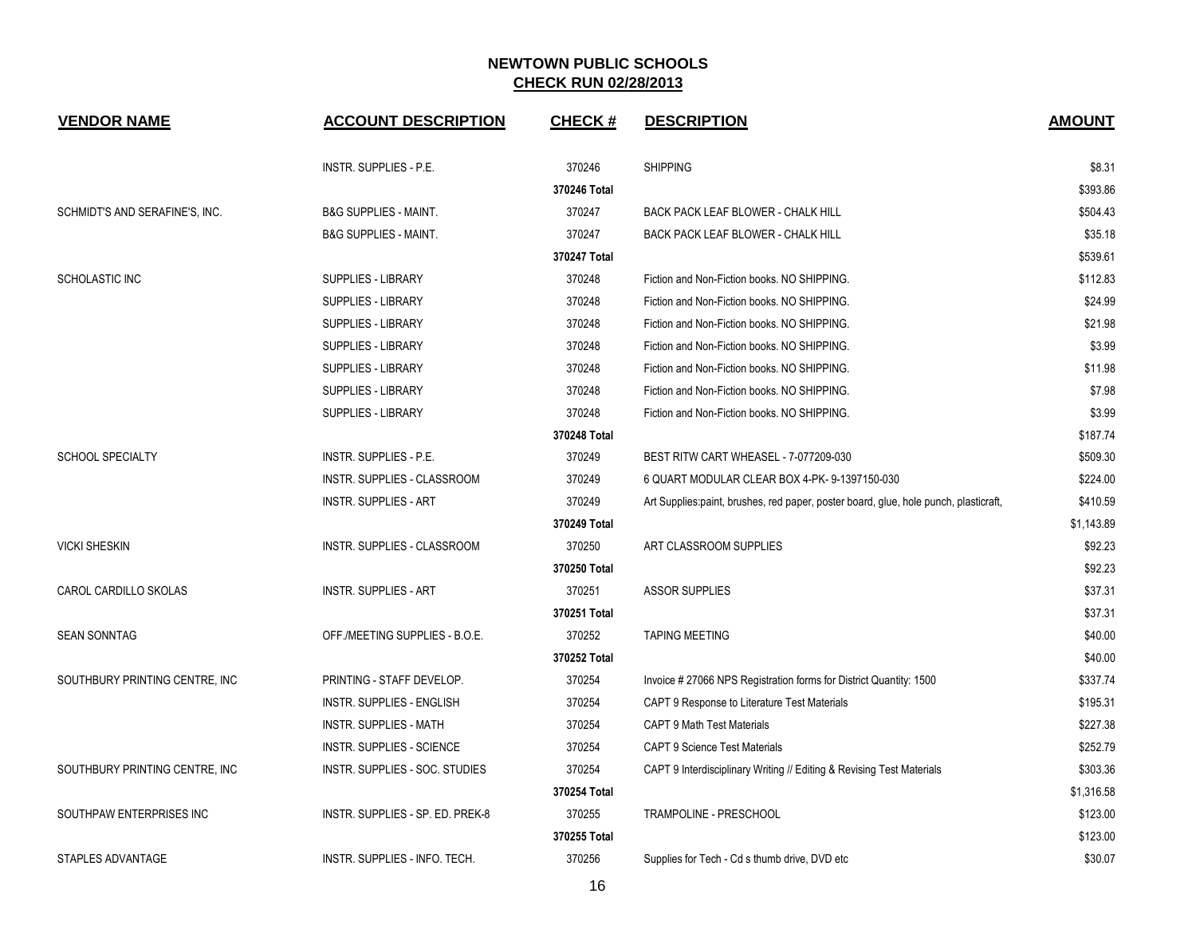| <b>VENDOR NAME</b>              | <b>ACCOUNT DESCRIPTION</b>       | <b>CHECK#</b> | <b>DESCRIPTION</b>                                                                    | <b>AMOUNT</b> |
|---------------------------------|----------------------------------|---------------|---------------------------------------------------------------------------------------|---------------|
|                                 | INSTR. SUPPLIES - P.E.           | 370246        | <b>SHIPPING</b>                                                                       | \$8.31        |
|                                 |                                  | 370246 Total  |                                                                                       | \$393.86      |
| SCHMIDT'S AND SERAFINE'S, INC.  | <b>B&amp;G SUPPLIES - MAINT.</b> | 370247        | BACK PACK LEAF BLOWER - CHALK HILL                                                    | \$504.43      |
|                                 | <b>B&amp;G SUPPLIES - MAINT.</b> | 370247        | BACK PACK LEAF BLOWER - CHALK HILL                                                    | \$35.18       |
|                                 |                                  | 370247 Total  |                                                                                       | \$539.61      |
| SCHOLASTIC INC                  | SUPPLIES - LIBRARY               | 370248        | Fiction and Non-Fiction books. NO SHIPPING.                                           | \$112.83      |
|                                 | <b>SUPPLIES - LIBRARY</b>        | 370248        | Fiction and Non-Fiction books, NO SHIPPING.                                           | \$24.99       |
|                                 | <b>SUPPLIES - LIBRARY</b>        | 370248        | Fiction and Non-Fiction books, NO SHIPPING.                                           | \$21.98       |
|                                 | <b>SUPPLIES - LIBRARY</b>        | 370248        | Fiction and Non-Fiction books. NO SHIPPING.                                           | \$3.99        |
|                                 | SUPPLIES - LIBRARY               | 370248        | Fiction and Non-Fiction books. NO SHIPPING.                                           | \$11.98       |
|                                 | SUPPLIES - LIBRARY               | 370248        | Fiction and Non-Fiction books. NO SHIPPING.                                           | \$7.98        |
|                                 | SUPPLIES - LIBRARY               | 370248        | Fiction and Non-Fiction books. NO SHIPPING.                                           | \$3.99        |
|                                 |                                  | 370248 Total  |                                                                                       | \$187.74      |
| <b>SCHOOL SPECIALTY</b>         | INSTR. SUPPLIES - P.E.           | 370249        | BEST RITW CART WHEASEL - 7-077209-030                                                 | \$509.30      |
|                                 | INSTR. SUPPLIES - CLASSROOM      | 370249        | 6 QUART MODULAR CLEAR BOX 4-PK- 9-1397150-030                                         | \$224.00      |
|                                 | <b>INSTR. SUPPLIES - ART</b>     | 370249        | Art Supplies: paint, brushes, red paper, poster board, glue, hole punch, plasticraft, | \$410.59      |
|                                 |                                  | 370249 Total  |                                                                                       | \$1,143.89    |
| <b>VICKI SHESKIN</b>            | INSTR. SUPPLIES - CLASSROOM      | 370250        | ART CLASSROOM SUPPLIES                                                                | \$92.23       |
|                                 |                                  | 370250 Total  |                                                                                       | \$92.23       |
| CAROL CARDILLO SKOLAS           | <b>INSTR. SUPPLIES - ART</b>     | 370251        | <b>ASSOR SUPPLIES</b>                                                                 | \$37.31       |
|                                 |                                  | 370251 Total  |                                                                                       | \$37.31       |
| <b>SEAN SONNTAG</b>             | OFF./MEETING SUPPLIES - B.O.E.   | 370252        | <b>TAPING MEETING</b>                                                                 | \$40.00       |
|                                 |                                  | 370252 Total  |                                                                                       | \$40.00       |
| SOUTHBURY PRINTING CENTRE, INC  | PRINTING - STAFF DEVELOP.        | 370254        | Invoice #27066 NPS Registration forms for District Quantity: 1500                     | \$337.74      |
|                                 | INSTR. SUPPLIES - ENGLISH        | 370254        | CAPT 9 Response to Literature Test Materials                                          | \$195.31      |
|                                 | <b>INSTR. SUPPLIES - MATH</b>    | 370254        | <b>CAPT 9 Math Test Materials</b>                                                     | \$227.38      |
|                                 | <b>INSTR. SUPPLIES - SCIENCE</b> | 370254        | <b>CAPT 9 Science Test Materials</b>                                                  | \$252.79      |
| SOUTHBURY PRINTING CENTRE, INC. | INSTR. SUPPLIES - SOC. STUDIES   | 370254        | CAPT 9 Interdisciplinary Writing // Editing & Revising Test Materials                 | \$303.36      |
|                                 |                                  | 370254 Total  |                                                                                       | \$1,316.58    |
| SOUTHPAW ENTERPRISES INC        | INSTR. SUPPLIES - SP. ED. PREK-8 | 370255        | TRAMPOLINE - PRESCHOOL                                                                | \$123.00      |
|                                 |                                  | 370255 Total  |                                                                                       | \$123.00      |
| STAPLES ADVANTAGE               | INSTR. SUPPLIES - INFO. TECH.    | 370256        | Supplies for Tech - Cd s thumb drive, DVD etc                                         | \$30.07       |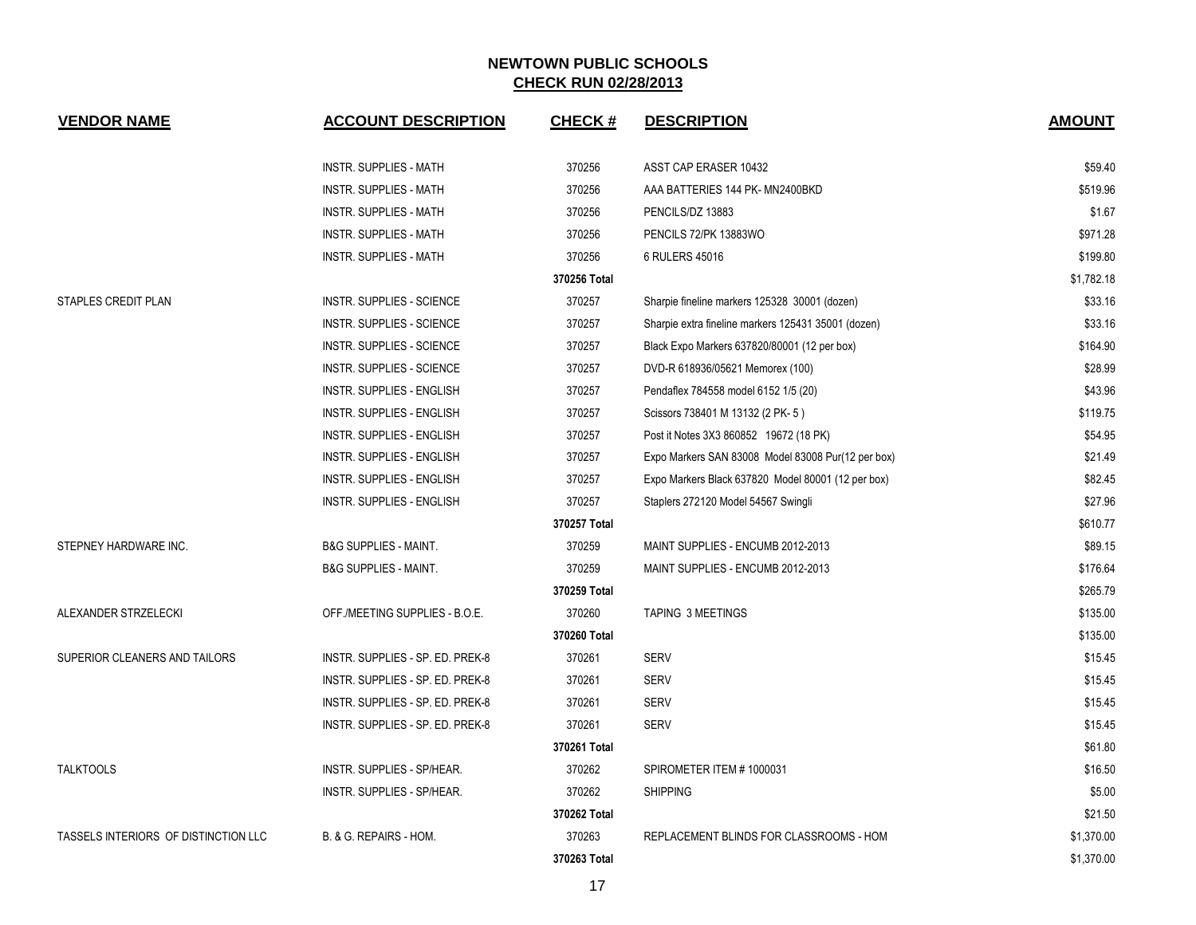| <b>VENDOR NAME</b>                   | <b>ACCOUNT DESCRIPTION</b>       | <b>CHECK#</b> | <b>DESCRIPTION</b>                                  | <b>AMOUNT</b> |
|--------------------------------------|----------------------------------|---------------|-----------------------------------------------------|---------------|
|                                      | INSTR. SUPPLIES - MATH           | 370256        | ASST CAP ERASER 10432                               | \$59.40       |
|                                      | <b>INSTR. SUPPLIES - MATH</b>    | 370256        | AAA BATTERIES 144 PK- MN2400BKD                     | \$519.96      |
|                                      | <b>INSTR. SUPPLIES - MATH</b>    | 370256        | PENCILS/DZ 13883                                    | \$1.67        |
|                                      | <b>INSTR. SUPPLIES - MATH</b>    | 370256        | PENCILS 72/PK 13883WO                               | \$971.28      |
|                                      | <b>INSTR. SUPPLIES - MATH</b>    | 370256        | 6 RULERS 45016                                      | \$199.80      |
|                                      |                                  | 370256 Total  |                                                     | \$1,782.18    |
| STAPLES CREDIT PLAN                  | INSTR. SUPPLIES - SCIENCE        | 370257        | Sharpie fineline markers 125328 30001 (dozen)       | \$33.16       |
|                                      | INSTR. SUPPLIES - SCIENCE        | 370257        | Sharpie extra fineline markers 125431 35001 (dozen) | \$33.16       |
|                                      | INSTR. SUPPLIES - SCIENCE        | 370257        | Black Expo Markers 637820/80001 (12 per box)        | \$164.90      |
|                                      | <b>INSTR. SUPPLIES - SCIENCE</b> | 370257        | DVD-R 618936/05621 Memorex (100)                    | \$28.99       |
|                                      | <b>INSTR. SUPPLIES - ENGLISH</b> | 370257        | Pendaflex 784558 model 6152 1/5 (20)                | \$43.96       |
|                                      | <b>INSTR. SUPPLIES - ENGLISH</b> | 370257        | Scissors 738401 M 13132 (2 PK-5)                    | \$119.75      |
|                                      | INSTR. SUPPLIES - ENGLISH        | 370257        | Post it Notes 3X3 860852 19672 (18 PK)              | \$54.95       |
|                                      | INSTR. SUPPLIES - ENGLISH        | 370257        | Expo Markers SAN 83008 Model 83008 Pur(12 per box)  | \$21.49       |
|                                      | <b>INSTR. SUPPLIES - ENGLISH</b> | 370257        | Expo Markers Black 637820 Model 80001 (12 per box)  | \$82.45       |
|                                      | <b>INSTR. SUPPLIES - ENGLISH</b> | 370257        | Staplers 272120 Model 54567 Swingli                 | \$27.96       |
|                                      |                                  | 370257 Total  |                                                     | \$610.77      |
| STEPNEY HARDWARE INC.                | <b>B&amp;G SUPPLIES - MAINT.</b> | 370259        | MAINT SUPPLIES - ENCUMB 2012-2013                   | \$89.15       |
|                                      | <b>B&amp;G SUPPLIES - MAINT.</b> | 370259        | MAINT SUPPLIES - ENCUMB 2012-2013                   | \$176.64      |
|                                      |                                  | 370259 Total  |                                                     | \$265.79      |
| ALEXANDER STRZELECKI                 | OFF./MEETING SUPPLIES - B.O.E.   | 370260        | TAPING 3 MEETINGS                                   | \$135.00      |
|                                      |                                  | 370260 Total  |                                                     | \$135.00      |
| SUPERIOR CLEANERS AND TAILORS        | INSTR. SUPPLIES - SP. ED. PREK-8 | 370261        | <b>SERV</b>                                         | \$15.45       |
|                                      | INSTR. SUPPLIES - SP. ED. PREK-8 | 370261        | <b>SERV</b>                                         | \$15.45       |
|                                      | INSTR. SUPPLIES - SP. ED. PREK-8 | 370261        | <b>SERV</b>                                         | \$15.45       |
|                                      | INSTR. SUPPLIES - SP. ED. PREK-8 | 370261        | <b>SERV</b>                                         | \$15.45       |
|                                      |                                  | 370261 Total  |                                                     | \$61.80       |
| <b>TALKTOOLS</b>                     | INSTR. SUPPLIES - SP/HEAR.       | 370262        | SPIROMETER ITEM #1000031                            | \$16.50       |
|                                      | INSTR. SUPPLIES - SP/HEAR.       | 370262        | <b>SHIPPING</b>                                     | \$5.00        |
|                                      |                                  | 370262 Total  |                                                     | \$21.50       |
| TASSELS INTERIORS OF DISTINCTION LLC | B. & G. REPAIRS - HOM.           | 370263        | REPLACEMENT BLINDS FOR CLASSROOMS - HOM             | \$1,370.00    |
|                                      |                                  | 370263 Total  |                                                     | \$1.370.00    |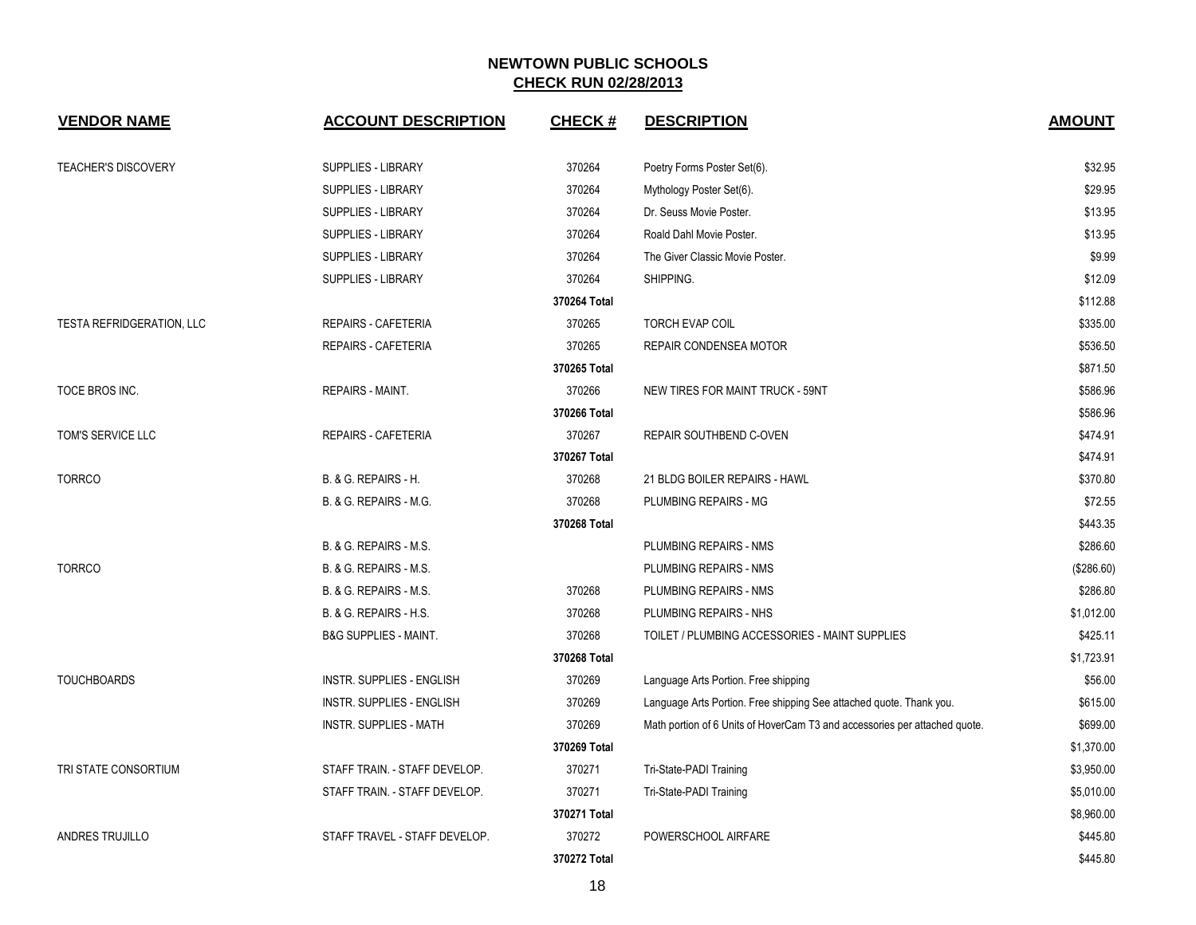| <b>VENDOR NAME</b>               | <b>ACCOUNT DESCRIPTION</b>       | <b>CHECK#</b> | <b>DESCRIPTION</b>                                                         | <b>AMOUNT</b> |
|----------------------------------|----------------------------------|---------------|----------------------------------------------------------------------------|---------------|
| <b>TEACHER'S DISCOVERY</b>       | <b>SUPPLIES - LIBRARY</b>        | 370264        | Poetry Forms Poster Set(6).                                                | \$32.95       |
|                                  | <b>SUPPLIES - LIBRARY</b>        | 370264        | Mythology Poster Set(6).                                                   | \$29.95       |
|                                  | <b>SUPPLIES - LIBRARY</b>        | 370264        | Dr. Seuss Movie Poster.                                                    | \$13.95       |
|                                  | SUPPLIES - LIBRARY               | 370264        | Roald Dahl Movie Poster.                                                   | \$13.95       |
|                                  | <b>SUPPLIES - LIBRARY</b>        | 370264        | The Giver Classic Movie Poster.                                            | \$9.99        |
|                                  | SUPPLIES - LIBRARY               | 370264        | SHIPPING.                                                                  | \$12.09       |
|                                  |                                  | 370264 Total  |                                                                            | \$112.88      |
| <b>TESTA REFRIDGERATION, LLC</b> | REPAIRS - CAFETERIA              | 370265        | TORCH EVAP COIL                                                            | \$335.00      |
|                                  | <b>REPAIRS - CAFETERIA</b>       | 370265        | REPAIR CONDENSEA MOTOR                                                     | \$536.50      |
|                                  |                                  | 370265 Total  |                                                                            | \$871.50      |
| TOCE BROS INC.                   | REPAIRS - MAINT.                 | 370266        | NEW TIRES FOR MAINT TRUCK - 59NT                                           | \$586.96      |
|                                  |                                  | 370266 Total  |                                                                            | \$586.96      |
| TOM'S SERVICE LLC                | <b>REPAIRS - CAFETERIA</b>       | 370267        | REPAIR SOUTHBEND C-OVEN                                                    | \$474.91      |
|                                  |                                  | 370267 Total  |                                                                            | \$474.91      |
| <b>TORRCO</b>                    | B. & G. REPAIRS - H.             | 370268        | 21 BLDG BOILER REPAIRS - HAWL                                              | \$370.80      |
|                                  | B. & G. REPAIRS - M.G.           | 370268        | PLUMBING REPAIRS - MG                                                      | \$72.55       |
|                                  |                                  | 370268 Total  |                                                                            | \$443.35      |
|                                  | B. & G. REPAIRS - M.S.           |               | PLUMBING REPAIRS - NMS                                                     | \$286.60      |
| <b>TORRCO</b>                    | B. & G. REPAIRS - M.S.           |               | PLUMBING REPAIRS - NMS                                                     | (\$286.60)    |
|                                  | B. & G. REPAIRS - M.S.           | 370268        | PLUMBING REPAIRS - NMS                                                     | \$286.80      |
|                                  | B. & G. REPAIRS - H.S.           | 370268        | PLUMBING REPAIRS - NHS                                                     | \$1,012.00    |
|                                  | <b>B&amp;G SUPPLIES - MAINT.</b> | 370268        | TOILET / PLUMBING ACCESSORIES - MAINT SUPPLIES                             | \$425.11      |
|                                  |                                  | 370268 Total  |                                                                            | \$1,723.91    |
| <b>TOUCHBOARDS</b>               | <b>INSTR. SUPPLIES - ENGLISH</b> | 370269        | Language Arts Portion. Free shipping                                       | \$56.00       |
|                                  | <b>INSTR. SUPPLIES - ENGLISH</b> | 370269        | Language Arts Portion. Free shipping See attached quote. Thank you.        | \$615.00      |
|                                  | <b>INSTR. SUPPLIES - MATH</b>    | 370269        | Math portion of 6 Units of HoverCam T3 and accessories per attached quote. | \$699.00      |
|                                  |                                  | 370269 Total  |                                                                            | \$1,370.00    |
| TRI STATE CONSORTIUM             | STAFF TRAIN. - STAFF DEVELOP.    | 370271        | Tri-State-PADI Training                                                    | \$3,950.00    |
|                                  | STAFF TRAIN. - STAFF DEVELOP.    | 370271        | Tri-State-PADI Training                                                    | \$5,010.00    |
|                                  |                                  | 370271 Total  |                                                                            | \$8,960.00    |
| ANDRES TRUJILLO                  | STAFF TRAVEL - STAFF DEVELOP.    | 370272        | POWERSCHOOL AIRFARE                                                        | \$445.80      |
|                                  |                                  | 370272 Total  |                                                                            | \$445.80      |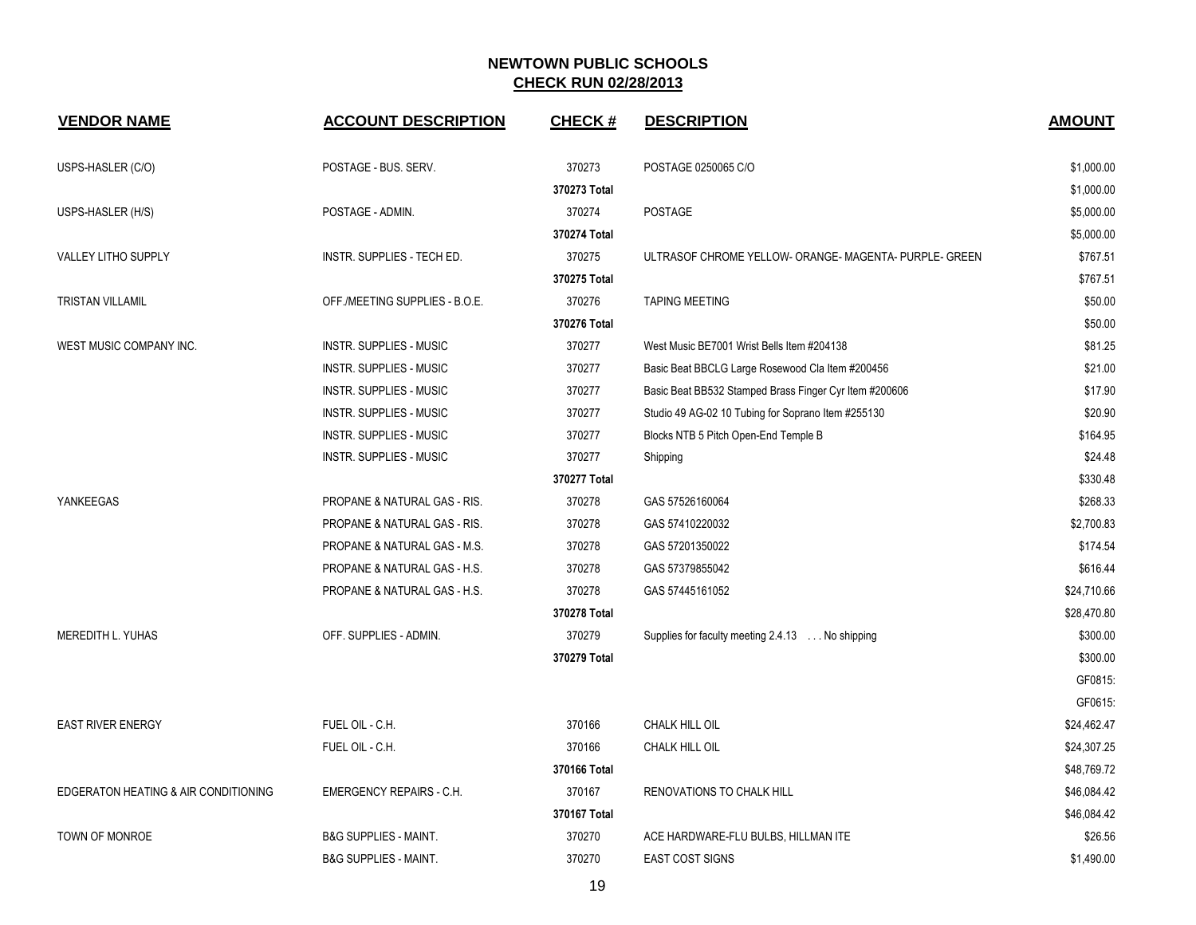| <b>VENDOR NAME</b>                   | <b>ACCOUNT DESCRIPTION</b>       | <b>CHECK#</b> | <b>DESCRIPTION</b>                                     | <b>AMOUNT</b> |
|--------------------------------------|----------------------------------|---------------|--------------------------------------------------------|---------------|
| USPS-HASLER (C/O)                    | POSTAGE - BUS. SERV.             | 370273        | POSTAGE 0250065 C/O                                    | \$1,000.00    |
|                                      |                                  | 370273 Total  |                                                        | \$1,000.00    |
| USPS-HASLER (H/S)                    | POSTAGE - ADMIN.                 | 370274        | <b>POSTAGE</b>                                         | \$5,000.00    |
|                                      |                                  | 370274 Total  |                                                        | \$5,000.00    |
| VALLEY LITHO SUPPLY                  | INSTR. SUPPLIES - TECH ED.       | 370275        | ULTRASOF CHROME YELLOW- ORANGE- MAGENTA- PURPLE- GREEN | \$767.51      |
|                                      |                                  | 370275 Total  |                                                        | \$767.51      |
| <b>TRISTAN VILLAMIL</b>              | OFF./MEETING SUPPLIES - B.O.E.   | 370276        | <b>TAPING MEETING</b>                                  | \$50.00       |
|                                      |                                  | 370276 Total  |                                                        | \$50.00       |
| WEST MUSIC COMPANY INC.              | INSTR. SUPPLIES - MUSIC          | 370277        | West Music BE7001 Wrist Bells Item #204138             | \$81.25       |
|                                      | INSTR. SUPPLIES - MUSIC          | 370277        | Basic Beat BBCLG Large Rosewood Cla Item #200456       | \$21.00       |
|                                      | INSTR. SUPPLIES - MUSIC          | 370277        | Basic Beat BB532 Stamped Brass Finger Cyr Item #200606 | \$17.90       |
|                                      | INSTR. SUPPLIES - MUSIC          | 370277        | Studio 49 AG-02 10 Tubing for Soprano Item #255130     | \$20.90       |
|                                      | INSTR. SUPPLIES - MUSIC          | 370277        | Blocks NTB 5 Pitch Open-End Temple B                   | \$164.95      |
|                                      | <b>INSTR. SUPPLIES - MUSIC</b>   | 370277        | Shipping                                               | \$24.48       |
|                                      |                                  | 370277 Total  |                                                        | \$330.48      |
| YANKEEGAS                            | PROPANE & NATURAL GAS - RIS.     | 370278        | GAS 57526160064                                        | \$268.33      |
|                                      | PROPANE & NATURAL GAS - RIS.     | 370278        | GAS 57410220032                                        | \$2,700.83    |
|                                      | PROPANE & NATURAL GAS - M.S.     | 370278        | GAS 57201350022                                        | \$174.54      |
|                                      | PROPANE & NATURAL GAS - H.S.     | 370278        | GAS 57379855042                                        | \$616.44      |
|                                      | PROPANE & NATURAL GAS - H.S.     | 370278        | GAS 57445161052                                        | \$24,710.66   |
|                                      |                                  | 370278 Total  |                                                        | \$28,470.80   |
| MEREDITH L. YUHAS                    | OFF. SUPPLIES - ADMIN.           | 370279        | Supplies for faculty meeting 2.4.13 . No shipping      | \$300.00      |
|                                      |                                  | 370279 Total  |                                                        | \$300.00      |
|                                      |                                  |               |                                                        | GF0815:       |
|                                      |                                  |               |                                                        | GF0615:       |
| <b>EAST RIVER ENERGY</b>             | FUEL OIL - C.H.                  | 370166        | CHALK HILL OIL                                         | \$24,462.47   |
|                                      | FUEL OIL - C.H.                  | 370166        | CHALK HILL OIL                                         | \$24,307.25   |
|                                      |                                  | 370166 Total  |                                                        | \$48,769.72   |
| EDGERATON HEATING & AIR CONDITIONING | <b>EMERGENCY REPAIRS - C.H.</b>  | 370167        | RENOVATIONS TO CHALK HILL                              | \$46,084.42   |
|                                      |                                  | 370167 Total  |                                                        | \$46,084.42   |
| <b>TOWN OF MONROE</b>                | <b>B&amp;G SUPPLIES - MAINT.</b> | 370270        | ACE HARDWARE-FLU BULBS, HILLMAN ITE                    | \$26.56       |
|                                      | <b>B&amp;G SUPPLIES - MAINT.</b> | 370270        | <b>EAST COST SIGNS</b>                                 | \$1,490.00    |